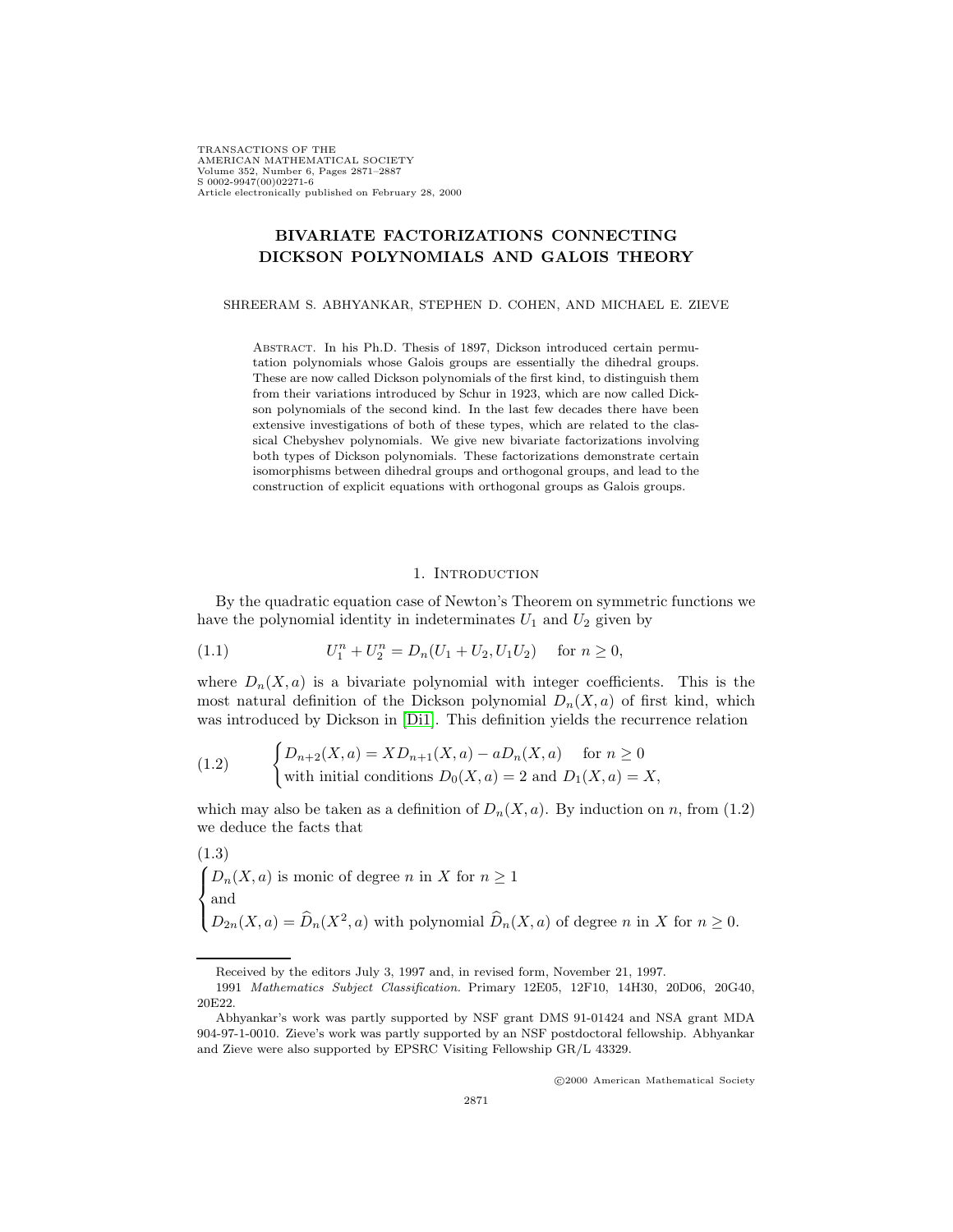TRANSACTIONS OF THE AMERICAN MATHEMATICAL SOCIETY Volume 352, Number 6, Pages 2871–2887 S 0002-9947(00)02271-6 Article electronically published on February 28, 2000

# **BIVARIATE FACTORIZATIONS CONNECTING DICKSON POLYNOMIALS AND GALOIS THEORY**

SHREERAM S. ABHYANKAR, STEPHEN D. COHEN, AND MICHAEL E. ZIEVE

Abstract. In his Ph.D. Thesis of 1897, Dickson introduced certain permutation polynomials whose Galois groups are essentially the dihedral groups. These are now called Dickson polynomials of the first kind, to distinguish them from their variations introduced by Schur in 1923, which are now called Dickson polynomials of the second kind. In the last few decades there have been extensive investigations of both of these types, which are related to the classical Chebyshev polynomials. We give new bivariate factorizations involving both types of Dickson polynomials. These factorizations demonstrate certain isomorphisms between dihedral groups and orthogonal groups, and lead to the construction of explicit equations with orthogonal groups as Galois groups.

# 1. INTRODUCTION

By the quadratic equation case of Newton's Theorem on symmetric functions we have the polynomial identity in indeterminates  $U_1$  and  $U_2$  given by

(1.1) 
$$
U_1^n + U_2^n = D_n(U_1 + U_2, U_1 U_2) \quad \text{for } n \ge 0,
$$

where  $D_n(X, a)$  is a bivariate polynomial with integer coefficients. This is the most natural definition of the Dickson polynomial  $D_n(X, a)$  of first kind, which was introduced by Dickson in [\[Di1\]](#page-16-0). This definition yields the recurrence relation

(1.2) 
$$
\begin{cases} D_{n+2}(X,a) = X D_{n+1}(X,a) - a D_n(X,a) & \text{for } n \ge 0\\ \text{with initial conditions } D_0(X,a) = 2 \text{ and } D_1(X,a) = X, \end{cases}
$$

which may also be taken as a definition of  $D_n(X, a)$ . By induction on n, from (1.2) we deduce the facts that

(1.3)  
\n
$$
\begin{cases}\nD_n(X, a) \text{ is monic of degree } n \text{ in } X \text{ for } n \ge 1 \\
\text{and} \\
D_{2n}(X, a) = \widehat{D}_n(X^2, a) \text{ with polynomial } \widehat{D}_n(X, a) \text{ of degree } n \text{ in } X \text{ for } n \ge 0.\n\end{cases}
$$

c 2000 American Mathematical Society

Received by the editors July 3, 1997 and, in revised form, November 21, 1997.

<sup>1991</sup> Mathematics Subject Classification. Primary 12E05, 12F10, 14H30, 20D06, 20G40, 20E22.

Abhyankar's work was partly supported by NSF grant DMS 91-01424 and NSA grant MDA 904-97-1-0010. Zieve's work was partly supported by an NSF postdoctoral fellowship. Abhyankar and Zieve were also supported by EPSRC Visiting Fellowship GR/L 43329.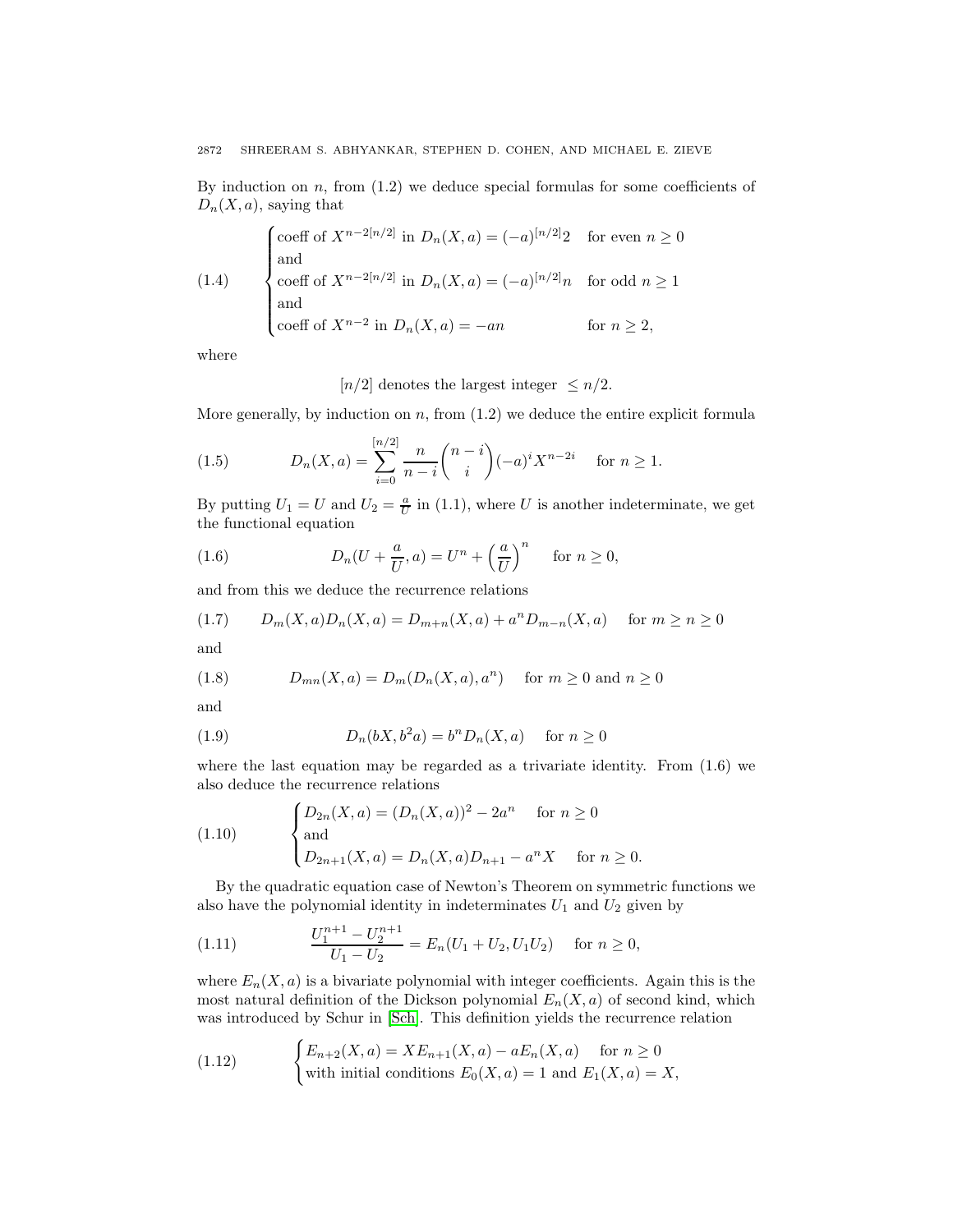By induction on  $n$ , from  $(1.2)$  we deduce special formulas for some coefficients of  $D_n(X, a)$ , saying that

(1.4) 
$$
\begin{cases}\n\text{coeff of } X^{n-2[n/2]} \text{ in } D_n(X, a) = (-a)^{[n/2]}2 & \text{for even } n \ge 0 \\
\text{and} \\
\text{coeff of } X^{n-2[n/2]} \text{ in } D_n(X, a) = (-a)^{[n/2]}n & \text{for odd } n \ge 1 \\
\text{and} \\
\text{coeff of } X^{n-2} \text{ in } D_n(X, a) = -an & \text{for } n \ge 2,\n\end{cases}
$$

where

[ $n/2$ ] denotes the largest integer  $\leq n/2$ .

More generally, by induction on  $n$ , from  $(1.2)$  we deduce the entire explicit formula

(1.5) 
$$
D_n(X, a) = \sum_{i=0}^{\lfloor n/2 \rfloor} \frac{n}{n-i} {n-i \choose i} (-a)^i X^{n-2i} \text{ for } n \ge 1.
$$

By putting  $U_1 = U$  and  $U_2 = \frac{a}{U}$  in (1.1), where U is another indeterminate, we get the functional equation

(1.6) 
$$
D_n(U + \frac{a}{U}, a) = U^n + \left(\frac{a}{U}\right)^n \quad \text{for } n \ge 0,
$$

and from this we deduce the recurrence relations

$$
(1.7) \tD_m(X, a)D_n(X, a) = D_{m+n}(X, a) + a^n D_{m-n}(X, a) \tfor m \ge n \ge 0
$$

and

(1.8) 
$$
D_{mn}(X, a) = D_m(D_n(X, a), a^n) \text{ for } m \ge 0 \text{ and } n \ge 0
$$

and

(1.9) 
$$
D_n(bX, b^2a) = b^n D_n(X, a) \quad \text{for } n \ge 0
$$

where the last equation may be regarded as a trivariate identity. From (1.6) we also deduce the recurrence relations

(1.10) 
$$
\begin{cases} D_{2n}(X,a) = (D_n(X,a))^2 - 2a^n & \text{for } n \ge 0\\ \text{and} \\ D_{2n+1}(X,a) = D_n(X,a)D_{n+1} - a^n X & \text{for } n \ge 0. \end{cases}
$$

By the quadratic equation case of Newton's Theorem on symmetric functions we also have the polynomial identity in indeterminates  $U_1$  and  $U_2$  given by

(1.11) 
$$
\frac{U_1^{n+1} - U_2^{n+1}}{U_1 - U_2} = E_n(U_1 + U_2, U_1 U_2) \text{ for } n \ge 0,
$$

 $\overline{\phantom{a}}$ 

where  $E_n(X, a)$  is a bivariate polynomial with integer coefficients. Again this is the most natural definition of the Dickson polynomial  $E_n(X, a)$  of second kind, which was introduced by Schur in [\[Sch\]](#page-16-1). This definition yields the recurrence relation

(1.12) 
$$
\begin{cases} E_{n+2}(X,a) = X E_{n+1}(X,a) - a E_n(X,a) & \text{for } n \ge 0 \\ \text{with initial conditions } E_0(X,a) = 1 \text{ and } E_1(X,a) = X, \end{cases}
$$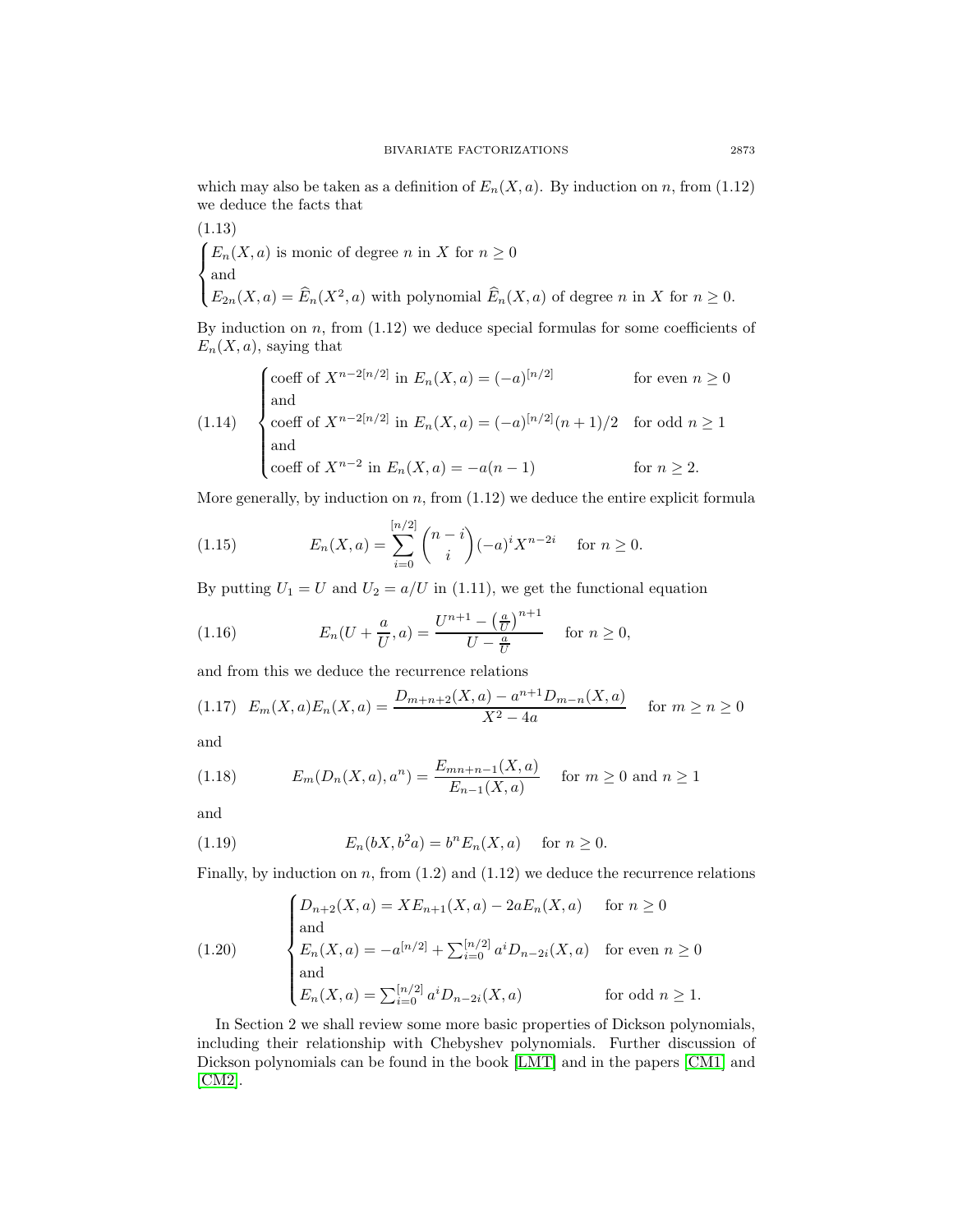which may also be taken as a definition of  $E_n(X, a)$ . By induction on n, from (1.12) we deduce the facts that

(1.13)  
\n
$$
\begin{cases}\nE_n(X, a) \text{ is monic of degree } n \text{ in } X \text{ for } n \ge 0 \\
\text{and} \\
E_{2n}(X, a) = \widehat{E}_n(X^2, a) \text{ with polynomial } \widehat{E}_n(X, a) \text{ of degree } n \text{ in } X \text{ for } n \ge 0.\n\end{cases}
$$

By induction on  $n$ , from  $(1.12)$  we deduce special formulas for some coefficients of  $E_n(X, a)$ , saying that

(1.14) 
$$
\begin{cases}\n\text{coeff of } X^{n-2[n/2]} \text{ in } E_n(X, a) = (-a)^{[n/2]} & \text{for even } n \ge 0 \\
\text{and} \\
\text{coeff of } X^{n-2[n/2]} \text{ in } E_n(X, a) = (-a)^{[n/2]}(n+1)/2 & \text{for odd } n \ge 1 \\
\text{and} \\
\text{coeff of } X^{n-2} \text{ in } E_n(X, a) = -a(n-1) & \text{for } n \ge 2.\n\end{cases}
$$

More generally, by induction on  $n$ , from  $(1.12)$  we deduce the entire explicit formula

(1.15) 
$$
E_n(X, a) = \sum_{i=0}^{\lfloor n/2 \rfloor} {n-i \choose i} (-a)^i X^{n-2i} \text{ for } n \ge 0.
$$

By putting  $U_1 = U$  and  $U_2 = a/U$  in (1.11), we get the functional equation

(1.16) 
$$
E_n(U + \frac{a}{U}, a) = \frac{U^{n+1} - (\frac{a}{U})^{n+1}}{U - \frac{a}{U}} \text{ for } n \ge 0,
$$

and from this we deduce the recurrence relations

$$
(1.17) \ E_m(X,a)E_n(X,a) = \frac{D_{m+n+2}(X,a) - a^{n+1}D_{m-n}(X,a)}{X^2 - 4a} \quad \text{for } m \ge n \ge 0
$$

and

(1.18) 
$$
E_m(D_n(X, a), a^n) = \frac{E_{mn+n-1}(X, a)}{E_{n-1}(X, a)} \quad \text{for } m \ge 0 \text{ and } n \ge 1
$$

and

(1.19) 
$$
E_n(bX, b^2a) = b^n E_n(X, a) \text{ for } n \ge 0.
$$

Finally, by induction on  $n$ , from  $(1.2)$  and  $(1.12)$  we deduce the recurrence relations

(1.20) 
$$
\begin{cases} D_{n+2}(X,a) = X E_{n+1}(X,a) - 2a E_n(X,a) & \text{for } n \ge 0 \\ \text{and} \\ E_n(X,a) = -a^{[n/2]} + \sum_{i=0}^{[n/2]} a^i D_{n-2i}(X,a) & \text{for even } n \ge 0 \\ \text{and} \\ E_n(X,a) = \sum_{i=0}^{[n/2]} a^i D_{n-2i}(X,a) & \text{for odd } n \ge 1. \end{cases}
$$

In Section 2 we shall review some more basic properties of Dickson polynomials, including their relationship with Chebyshev polynomials. Further discussion of Dickson polynomials can be found in the book [\[LMT\]](#page-16-2) and in the papers [\[CM1\]](#page-16-3) and [\[CM2\]](#page-16-4).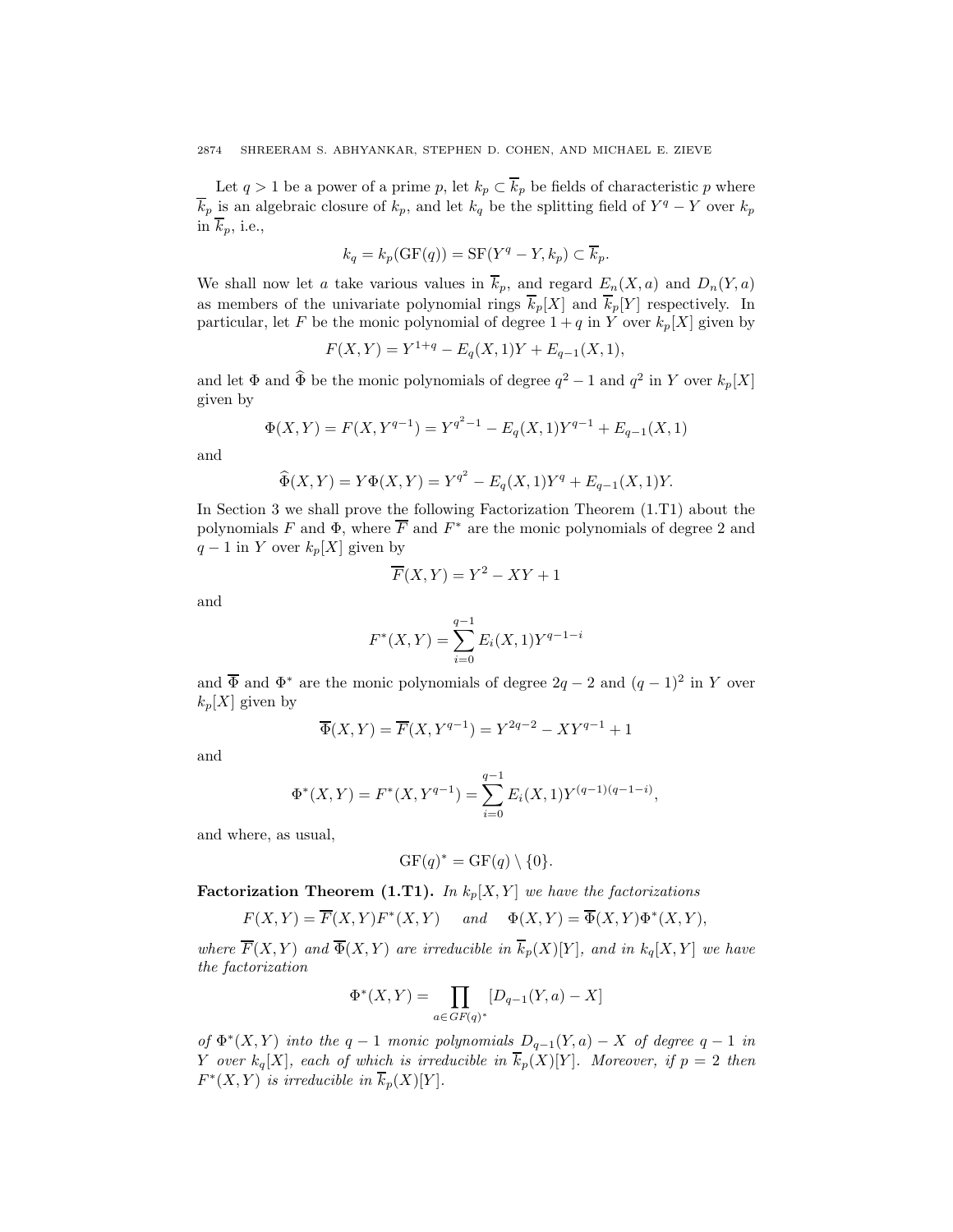Let  $q > 1$  be a power of a prime p, let  $k_p \subset \overline{k}_p$  be fields of characteristic p where  $\overline{k}_p$  is an algebraic closure of  $k_p$ , and let  $k_q$  be the splitting field of  $Y^q - Y$  over  $k_p$ in  $\overline{k}_p$ , i.e.,

$$
k_q = k_p(\text{GF}(q)) = \text{SF}(Y^q - Y, k_p) \subset \overline{k}_p.
$$

We shall now let a take various values in  $\overline{k}_p$ , and regard  $E_n(X, a)$  and  $D_n(Y, a)$ as members of the univariate polynomial rings  $\overline{k}_p[X]$  and  $\overline{k}_p[Y]$  respectively. In particular, let F be the monic polynomial of degree  $1 + q$  in Y over  $k_p[X]$  given by

$$
F(X,Y) = Y^{1+q} - E_q(X,1)Y + E_{q-1}(X,1),
$$

and let  $\Phi$  and  $\widehat{\Phi}$  be the monic polynomials of degree  $q^2 - 1$  and  $q^2$  in Y over  $k_p[X]$ given by

$$
\Phi(X,Y) = F(X, Y^{q-1}) = Y^{q^2 - 1} - E_q(X, 1)Y^{q-1} + E_{q-1}(X, 1)
$$

and

$$
\widehat{\Phi}(X,Y) = Y\Phi(X,Y) = Y^{q^2} - E_q(X,1)Y^q + E_{q-1}(X,1)Y.
$$

In Section 3 we shall prove the following Factorization Theorem (1.T1) about the polynomials F and  $\Phi$ , where  $\overline{F}$  and  $F^*$  are the monic polynomials of degree 2 and  $q-1$  in Y over  $k_p[X]$  given by

$$
\overline{F}(X,Y) = Y^2 - XY + 1
$$

and

$$
F^*(X,Y) = \sum_{i=0}^{q-1} E_i(X,1)Y^{q-1-i}
$$

and  $\overline{\Phi}$  and  $\Phi^*$  are the monic polynomials of degree  $2q - 2$  and  $(q - 1)^2$  in Y over  $k_p[X]$  given by

$$
\overline{\Phi}(X,Y)=\overline{F}(X,Y^{q-1})=Y^{2q-2}-XY^{q-1}+1
$$

and

$$
\Phi^*(X,Y) = F^*(X,Y^{q-1}) = \sum_{i=0}^{q-1} E_i(X,1) Y^{(q-1)(q-1-i)},
$$

and where, as usual,

$$
GF(q)^* = GF(q) \setminus \{0\}.
$$

**Factorization Theorem (1.T1).** In  $k_p[X, Y]$  we have the factorizations

$$
F(X,Y)=\overline{F}(X,Y)F^*(X,Y) \quad \text{ and } \quad \Phi(X,Y)=\overline{\Phi}(X,Y)\Phi^*(X,Y),
$$

where  $\overline{F}(X, Y)$  and  $\overline{\Phi}(X, Y)$  are irreducible in  $\overline{k}_p(X)[Y]$ , and in  $k_q[X, Y]$  we have the factorization

$$
\Phi^*(X,Y) = \prod_{a \in GF(q)^*} [D_{q-1}(Y,a) - X]
$$

of  $\Phi^*(X, Y)$  into the q - 1 monic polynomials  $D_{q-1}(Y, a) - X$  of degree q - 1 in Y over  $k_q[X]$ , each of which is irreducible in  $\overline{k}_p(X)[Y]$ . Moreover, if  $p = 2$  then  $F^*(X, Y)$  is irreducible in  $\overline{k}_p(X)[Y]$ .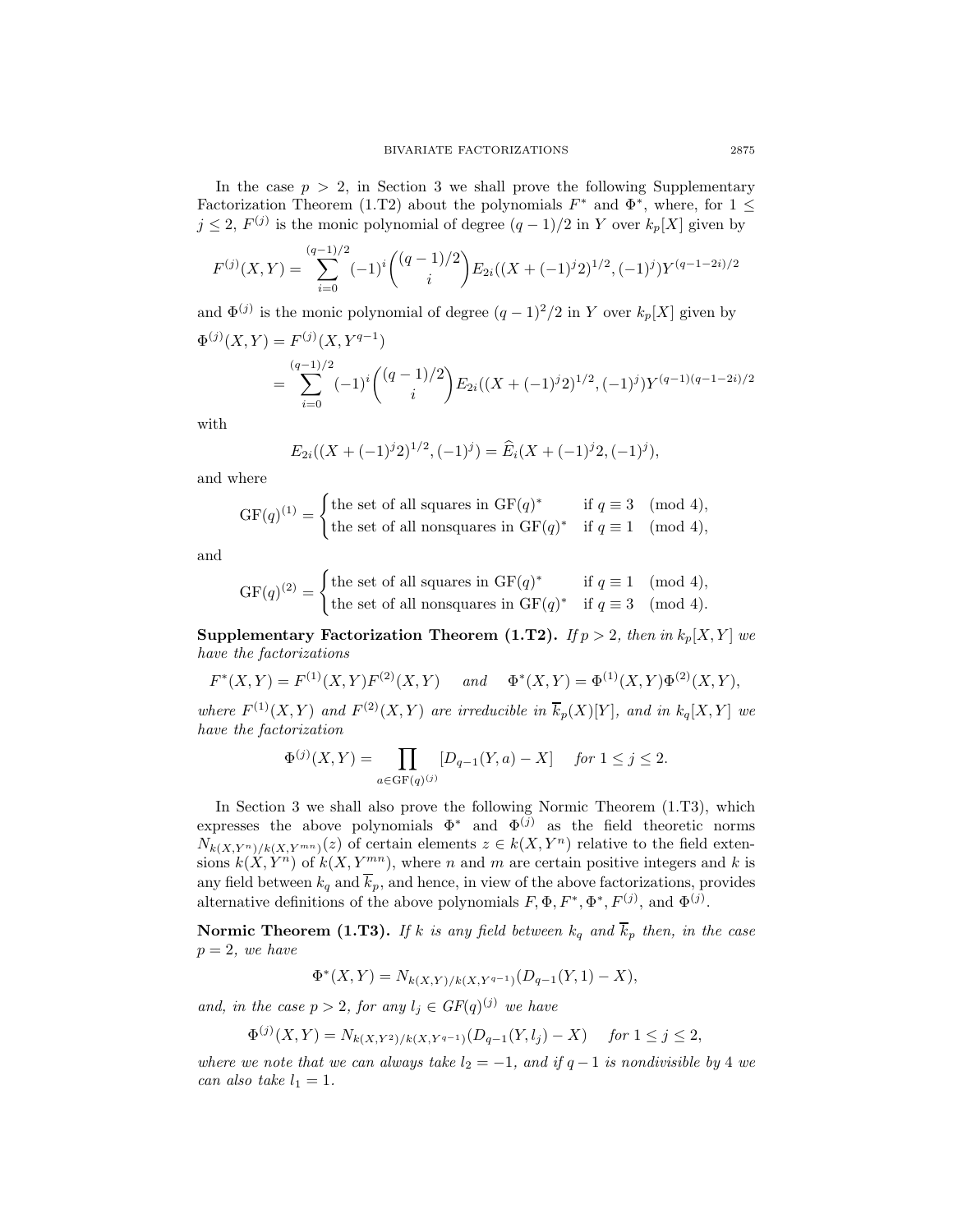In the case  $p > 2$ , in Section 3 we shall prove the following Supplementary Factorization Theorem (1.T2) about the polynomials  $F^*$  and  $\Phi^*$ , where, for  $1 \leq$  $j \leq 2$ ,  $F^{(j)}$  is the monic polynomial of degree  $(q-1)/2$  in Y over  $k_p[X]$  given by

$$
F^{(j)}(X,Y) = \sum_{i=0}^{(q-1)/2} (-1)^i \binom{(q-1)/2}{i} E_{2i}((X+(-1)^j 2)^{1/2}, (-1)^j) Y^{(q-1-2i)/2}
$$

and  $\Phi^{(j)}$  is the monic polynomial of degree  $(q-1)^2/2$  in Y over  $k_p[X]$  given by  $\Phi^{(j)}(X,Y) = F^{(j)}(X,Y^{q-1})$ 

$$
= \sum_{i=0}^{(q-1)/2} (-1)^i \binom{(q-1)/2}{i} E_{2i}((X+(-1)^j 2)^{1/2}, (-1)^j) Y^{(q-1)(q-1-2i)/2}
$$

with

$$
E_{2i}((X + (-1)^{j}2)^{1/2}, (-1)^{j}) = \widehat{E}_i(X + (-1)^{j}2, (-1)^{j}),
$$

and where

$$
\text{GF}(q)^{(1)} = \begin{cases} \text{the set of all squares in }\text{GF}(q)^{*} & \text{if } q \equiv 3 \pmod{4}, \\ \text{the set of all nonsquares in }\text{GF}(q)^{*} & \text{if } q \equiv 1 \pmod{4}, \end{cases}
$$

and

$$
GF(q)^{(2)} = \begin{cases} \text{the set of all squares in } GF(q)^* & \text{if } q \equiv 1 \pmod{4}, \\ \text{the set of all nonsquares in } GF(q)^* & \text{if } q \equiv 3 \pmod{4}. \end{cases}
$$

**Supplementary Factorization Theorem (1.T2).** If  $p > 2$ , then in  $k_p[X, Y]$  we have the factorizations

$$
F^*(X,Y) = F^{(1)}(X,Y)F^{(2)}(X,Y)
$$
 and  $\Phi^*(X,Y) = \Phi^{(1)}(X,Y)\Phi^{(2)}(X,Y)$ ,

where  $F^{(1)}(X, Y)$  and  $F^{(2)}(X, Y)$  are irreducible in  $\overline{k}_p(X)[Y]$ , and in  $k_q[X, Y]$  we have the factorization

$$
\Phi^{(j)}(X,Y) = \prod_{a \in \text{GF}(q)^{(j)}} [D_{q-1}(Y,a) - X] \quad \text{for } 1 \le j \le 2.
$$

In Section 3 we shall also prove the following Normic Theorem (1.T3), which expresses the above polynomials  $\Phi^*$  and  $\Phi^{(j)}$  as the field theoretic norms  $N_{k(X,Y^n)/k(X,Y^{mn})}(z)$  of certain elements  $z \in k(X,Y^n)$  relative to the field extensions  $k(X, Y^n)$  of  $k(X, Y^{mn})$ , where n and m are certain positive integers and k is any field between  $k_q$  and  $\overline{k}_p$ , and hence, in view of the above factorizations, provides alternative definitions of the above polynomials  $F, \Phi, F^*, \Phi^*, F^{(j)}$ , and  $\Phi^{(j)}$ .

**Normic Theorem (1.T3).** If k is any field between  $k_q$  and  $\overline{k}_p$  then, in the case  $p = 2$ , we have

$$
\Phi^*(X,Y) = N_{k(X,Y)/k(X,Y^{q-1})}(D_{q-1}(Y,1) - X),
$$

and, in the case  $p > 2$ , for any  $l_j \in GF(q)^{(j)}$  we have

$$
\Phi^{(j)}(X,Y) = N_{k(X,Y^2)/k(X,Y^{q-1})}(D_{q-1}(Y,l_j) - X) \quad \text{for } 1 \le j \le 2,
$$

where we note that we can always take  $l_2 = -1$ , and if  $q - 1$  is nondivisible by 4 we can also take  $l_1 = 1$ .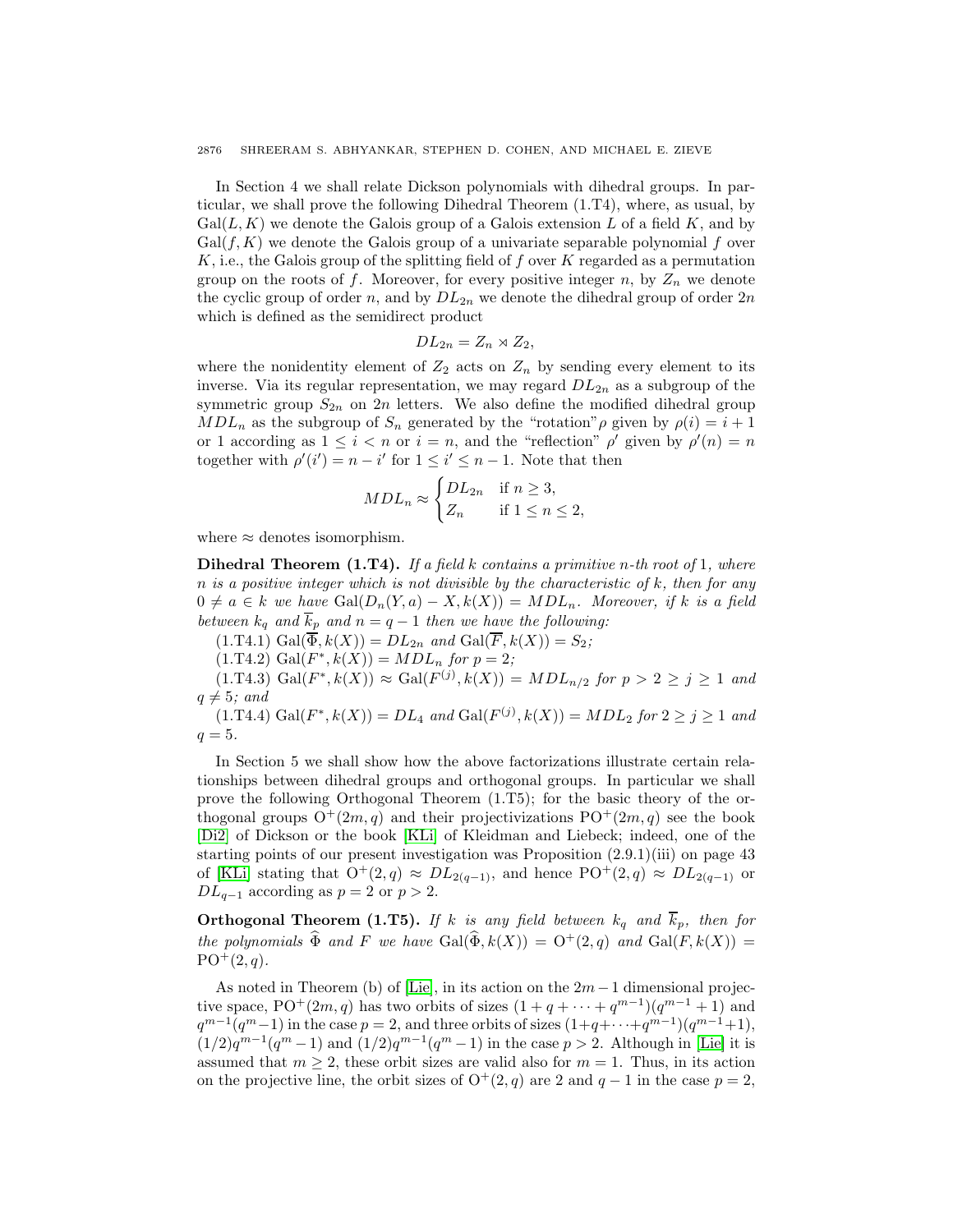In Section 4 we shall relate Dickson polynomials with dihedral groups. In particular, we shall prove the following Dihedral Theorem (1.T4), where, as usual, by  $Gal(L, K)$  we denote the Galois group of a Galois extension L of a field K, and by  $Gal(f, K)$  we denote the Galois group of a univariate separable polynomial f over  $K$ , i.e., the Galois group of the splitting field of f over K regarded as a permutation group on the roots of f. Moreover, for every positive integer n, by  $Z_n$  we denote the cyclic group of order n, and by  $DL_{2n}$  we denote the dihedral group of order  $2n$ which is defined as the semidirect product

$$
DL_{2n}=Z_n\rtimes Z_2,
$$

where the nonidentity element of  $Z_2$  acts on  $Z_n$  by sending every element to its inverse. Via its regular representation, we may regard  $DL_{2n}$  as a subgroup of the symmetric group  $S_{2n}$  on 2n letters. We also define the modified dihedral group  $MDL_n$  as the subgroup of  $S_n$  generated by the "rotation" *ρ* given by  $\rho(i) = i + 1$ or 1 according as  $1 \leq i < n$  or  $i = n$ , and the "reflection"  $\rho'$  given by  $\rho'(n) = n$ together with  $\rho'(i') = n - i'$  for  $1 \leq i' \leq n - 1$ . Note that then

$$
MDL_n \approx \begin{cases} DL_{2n} & \text{if } n \ge 3, \\ Z_n & \text{if } 1 \le n \le 2, \end{cases}
$$

where  $\approx$  denotes isomorphism.

**Dihedral Theorem (1.T4).** If a field k contains a primitive n-th root of 1, where n is a positive integer which is not divisible by the characteristic of  $k$ , then for any  $0 \neq a \in k$  we have  $Gal(D_n(Y, a) - X, k(X)) = MDL_n$ . Moreover, if k is a field between  $k_q$  and  $k_p$  and  $n = q - 1$  then we have the following:

 $(1.T4.1) Gal(\overline{\Phi}, k(X)) = DL_{2n} and Gal(\overline{F}, k(X)) = S_2;$ 

 $(1.T4.2) Gal(F^*, k(X)) = MDL_n$  for  $p = 2;$ 

 $(1. T4.3) \text{ Gal}(F^*, k(X)) \approx \text{Gal}(F^{(j)}, k(X)) = MDL_{n/2} \text{ for } p > 2 \ge j \ge 1 \text{ and }$  $q \neq 5$ ; and

 $(1. T4.4) \text{ Gal}(F^*, k(X)) = DL_4 \text{ and } \text{Gal}(F^{(j)}, k(X)) = MDL_2 \text{ for } 2 \ge j \ge 1 \text{ and }$  $q=5$ .

In Section 5 we shall show how the above factorizations illustrate certain relationships between dihedral groups and orthogonal groups. In particular we shall prove the following Orthogonal Theorem (1.T5); for the basic theory of the orthogonal groups  $O^+(2m, q)$  and their projectivizations  $PO^+(2m, q)$  see the book [\[Di2\]](#page-16-5) of Dickson or the book [\[KLi\]](#page-16-6) of Kleidman and Liebeck; indeed, one of the starting points of our present investigation was Proposition (2.9.1)(iii) on page 43 of [\[KLi\]](#page-16-6) stating that  $O^+(2,q) \approx DL_{2(q-1)}$ , and hence  $PO^+(2,q) \approx DL_{2(q-1)}$  or  $DL_{q-1}$  according as  $p = 2$  or  $p > 2$ .

**Orthogonal Theorem (1.T5).** If k is any field between  $k_q$  and  $\overline{k}_p$ , then for the polynomials  $\widehat{\Phi}$  and F we have  $Gal(\widehat{\Phi}, k(X)) = O^+(2,q)$  and  $Gal(F, k(X)) =$  $PO+(2, q)$ .

As noted in Theorem (b) of [\[Lie\]](#page-16-7), in its action on the  $2m-1$  dimensional projective space, PO<sup>+</sup>(2m, q) has two orbits of sizes  $(1 + q + \cdots + q^{m-1})(q^{m-1} + 1)$  and  $q^{m-1}(q^m-1)$  in the case  $p=2$ , and three orbits of sizes  $(1+q+\cdots+q^{m-1})(q^{m-1}+1)$ ,  $(1/2)q^{m-1}(q^m-1)$  and  $(1/2)q^{m-1}(q^m-1)$  in the case  $p > 2$ . Although in [\[Lie\]](#page-16-7) it is assumed that  $m \geq 2$ , these orbit sizes are valid also for  $m = 1$ . Thus, in its action on the projective line, the orbit sizes of  $O^+(2, q)$  are 2 and  $q - 1$  in the case  $p = 2$ ,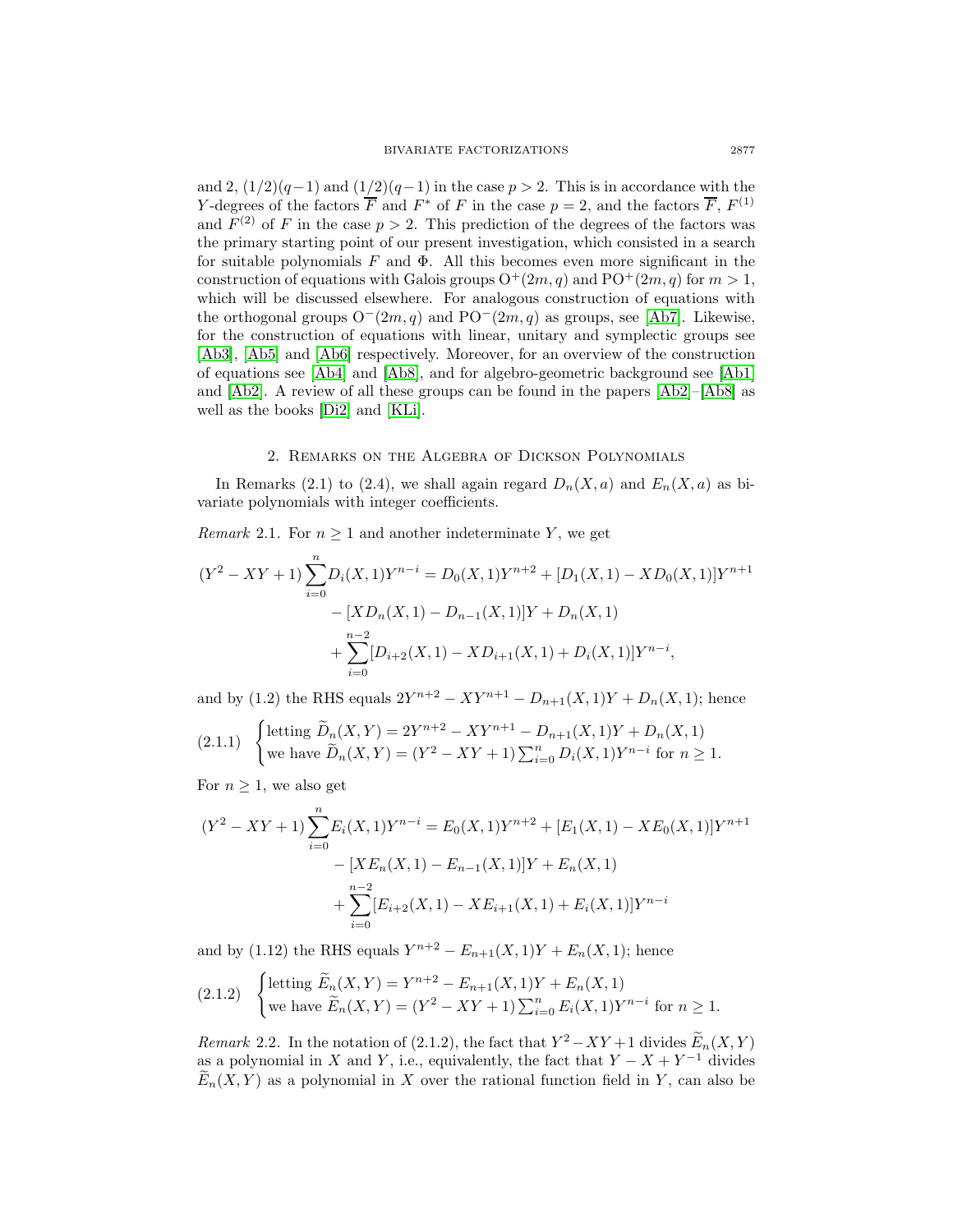and 2,  $\left(\frac{1}{2}\right)(q-1)$  and  $\left(\frac{1}{2}\right)(q-1)$  in the case  $p > 2$ . This is in accordance with the Y-degrees of the factors  $\overline{F}$  and  $F^*$  of F in the case  $p = 2$ , and the factors  $\overline{F}$ ,  $F^{(1)}$ and  $F^{(2)}$  of F in the case  $p > 2$ . This prediction of the degrees of the factors was the primary starting point of our present investigation, which consisted in a search for suitable polynomials  $F$  and  $\Phi$ . All this becomes even more significant in the construction of equations with Galois groups  $O^+(2m, q)$  and  $PO^+(2m, q)$  for  $m > 1$ , which will be discussed elsewhere. For analogous construction of equations with the orthogonal groups  $O^-(2m, q)$  and  $PO^-(2m, q)$  as groups, see [\[Ab7\]](#page-16-8). Likewise, for the construction of equations with linear, unitary and symplectic groups see [\[Ab3\]](#page-16-9), [\[Ab5\]](#page-16-10) and [\[Ab6\]](#page-16-11) respectively. Moreover, for an overview of the construction of equations see [\[Ab4\]](#page-16-12) and [\[Ab8\]](#page-16-13), and for algebro-geometric background see [\[Ab1\]](#page-16-14) and [\[Ab2\]](#page-16-15). A review of all these groups can be found in the papers [\[Ab2\]](#page-16-15)–[\[Ab8\]](#page-16-13) as well as the books [\[Di2\]](#page-16-5) and [\[KLi\]](#page-16-6).

# 2. Remarks on the Algebra of Dickson Polynomials

In Remarks (2.1) to (2.4), we shall again regard  $D_n(X, a)$  and  $E_n(X, a)$  as bivariate polynomials with integer coefficients.

*Remark* 2.1. For  $n \geq 1$  and another indeterminate Y, we get

$$
(Y^{2} - XY + 1) \sum_{i=0}^{n} D_{i}(X, 1)Y^{n-i} = D_{0}(X, 1)Y^{n+2} + [D_{1}(X, 1) - XD_{0}(X, 1)]Y^{n+1}
$$

$$
- [XD_{n}(X, 1) - D_{n-1}(X, 1)]Y + D_{n}(X, 1)
$$

$$
+ \sum_{i=0}^{n-2} [D_{i+2}(X, 1) - XD_{i+1}(X, 1) + D_{i}(X, 1)]Y^{n-i},
$$

and by (1.2) the RHS equals  $2Y^{n+2} - XY^{n+1} - D_{n+1}(X, 1)Y + D_n(X, 1)$ ; hence

$$
(2.1.1) \quad \begin{cases} \text{letting } \widetilde{D}_n(X,Y) = 2Y^{n+2} - XY^{n+1} - D_{n+1}(X,1)Y + D_n(X,1) \\ \text{we have } \widetilde{D}_n(X,Y) = (Y^2 - XY + 1) \sum_{i=0}^n D_i(X,1)Y^{n-i} \text{ for } n \ge 1. \end{cases}
$$

For  $n \geq 1$ , we also get

$$
(Y^{2} - XY + 1) \sum_{i=0}^{n} E_{i}(X, 1)Y^{n-i} = E_{0}(X, 1)Y^{n+2} + [E_{1}(X, 1) - XE_{0}(X, 1)]Y^{n+1}
$$

$$
- [XE_{n}(X, 1) - E_{n-1}(X, 1)]Y + E_{n}(X, 1)
$$

$$
+ \sum_{i=0}^{n-2} [E_{i+2}(X, 1) - XE_{i+1}(X, 1) + E_{i}(X, 1)]Y^{n-i}
$$

and by (1.12) the RHS equals  $Y^{n+2} - E_{n+1}(X, 1)Y + E_n(X, 1)$ ; hence

$$
(2.1.2) \quad \begin{cases} \text{letting } \widetilde{E}_n(X,Y) = Y^{n+2} - E_{n+1}(X,1)Y + E_n(X,1) \\ \text{we have } \widetilde{E}_n(X,Y) = (Y^2 - XY + 1) \sum_{i=0}^n E_i(X,1)Y^{n-i} \text{ for } n \ge 1. \end{cases}
$$

Remark 2.2. In the notation of (2.1.2), the fact that  $Y^2 - XY + 1$  divides  $\widetilde{E}_n(X, Y)$ as a polynomial in X and Y, i.e., equivalently, the fact that  $Y - X + Y^{-1}$  divides  $E_n(X, Y)$  as a polynomial in X over the rational function field in Y, can also be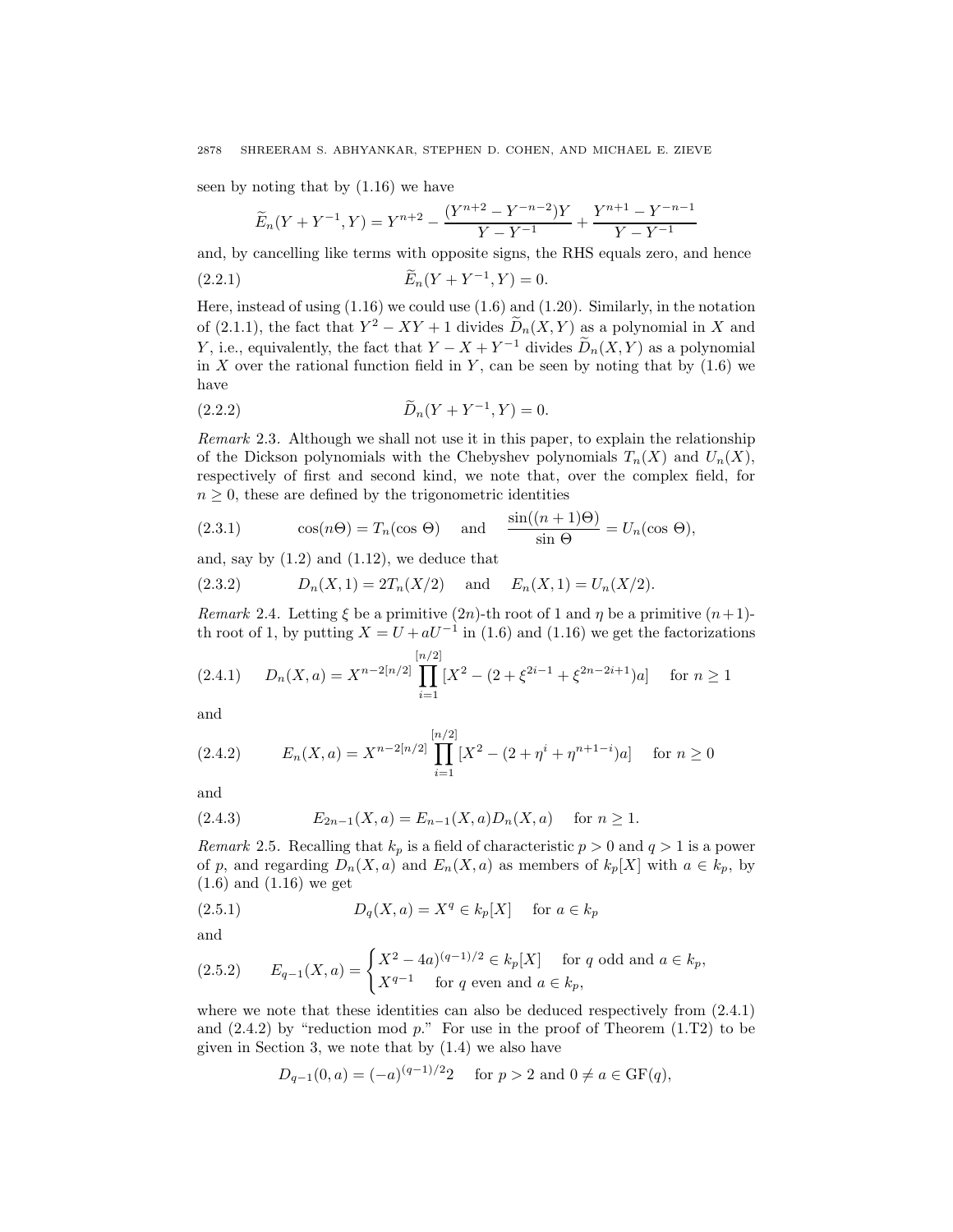seen by noting that by (1.16) we have

$$
\widetilde{E}_n(Y+Y^{-1},Y) = Y^{n+2} - \frac{(Y^{n+2} - Y^{-n-2})Y}{Y-Y^{-1}} + \frac{Y^{n+1} - Y^{-n-1}}{Y-Y^{-1}}
$$

and, by cancelling like terms with opposite signs, the RHS equals zero, and hence

(2.2.1) 
$$
\widetilde{E}_n(Y + Y^{-1}, Y) = 0.
$$

Here, instead of using  $(1.16)$  we could use  $(1.6)$  and  $(1.20)$ . Similarly, in the notation of (2.1.1), the fact that  $Y^2 - XY + 1$  divides  $\widetilde{D}_n(X, Y)$  as a polynomial in X and Y, i.e., equivalently, the fact that  $Y - X + Y^{-1}$  divides  $\widetilde{D}_n(X, Y)$  as a polynomial in  $X$  over the rational function field in  $Y$ , can be seen by noting that by  $(1.6)$  we have

(2.2.2) 
$$
\widetilde{D}_n(Y + Y^{-1}, Y) = 0.
$$

Remark 2.3. Although we shall not use it in this paper, to explain the relationship of the Dickson polynomials with the Chebyshev polynomials  $T_n(X)$  and  $U_n(X)$ , respectively of first and second kind, we note that, over the complex field, for  $n \geq 0$ , these are defined by the trigonometric identities

(2.3.1) 
$$
\cos(n\Theta) = T_n(\cos \Theta) \quad \text{and} \quad \frac{\sin((n+1)\Theta)}{\sin \Theta} = U_n(\cos \Theta),
$$

and, say by  $(1.2)$  and  $(1.12)$ , we deduce that

(2.3.2) 
$$
D_n(X,1) = 2T_n(X/2) \text{ and } E_n(X,1) = U_n(X/2).
$$

Remark 2.4. Letting  $\xi$  be a primitive (2n)-th root of 1 and  $\eta$  be a primitive  $(n+1)$ th root of 1, by putting  $X = U + aU^{-1}$  in (1.6) and (1.16) we get the factorizations

$$
(2.4.1) \tD_n(X, a) = X^{n-2[n/2]} \prod_{i=1}^{[n/2]} [X^2 - (2 + \xi^{2i-1} + \xi^{2n-2i+1})a] \tfor n \ge 1
$$

and

$$
(2.4.2) \t E_n(X, a) = X^{n-2[n/2]} \prod_{i=1}^{[n/2]} [X^2 - (2 + \eta^i + \eta^{n+1-i})a] \quad \text{for } n \ge 0
$$

and

$$
(2.4.3) \t E_{2n-1}(X,a) = E_{n-1}(X,a)D_n(X,a) \t for n \ge 1.
$$

Remark 2.5. Recalling that  $k_p$  is a field of characteristic  $p > 0$  and  $q > 1$  is a power of p, and regarding  $D_n(X, a)$  and  $E_n(X, a)$  as members of  $k_p[X]$  with  $a \in k_p$ , by (1.6) and (1.16) we get

(2.5.1) 
$$
D_q(X, a) = X^q \in k_p[X] \quad \text{for } a \in k_p
$$

and

$$
(2.5.2) \qquad E_{q-1}(X,a) = \begin{cases} X^2 - 4a)^{(q-1)/2} \in k_p[X] & \text{for } q \text{ odd and } a \in k_p, \\ X^{q-1} & \text{for } q \text{ even and } a \in k_p, \end{cases}
$$

where we note that these identities can also be deduced respectively from  $(2.4.1)$ and  $(2.4.2)$  by "reduction mod p." For use in the proof of Theorem  $(1.T2)$  to be given in Section 3, we note that by (1.4) we also have

$$
D_{q-1}(0, a) = (-a)^{(q-1)/2}2
$$
 for  $p > 2$  and  $0 \neq a \in \text{GF}(q)$ ,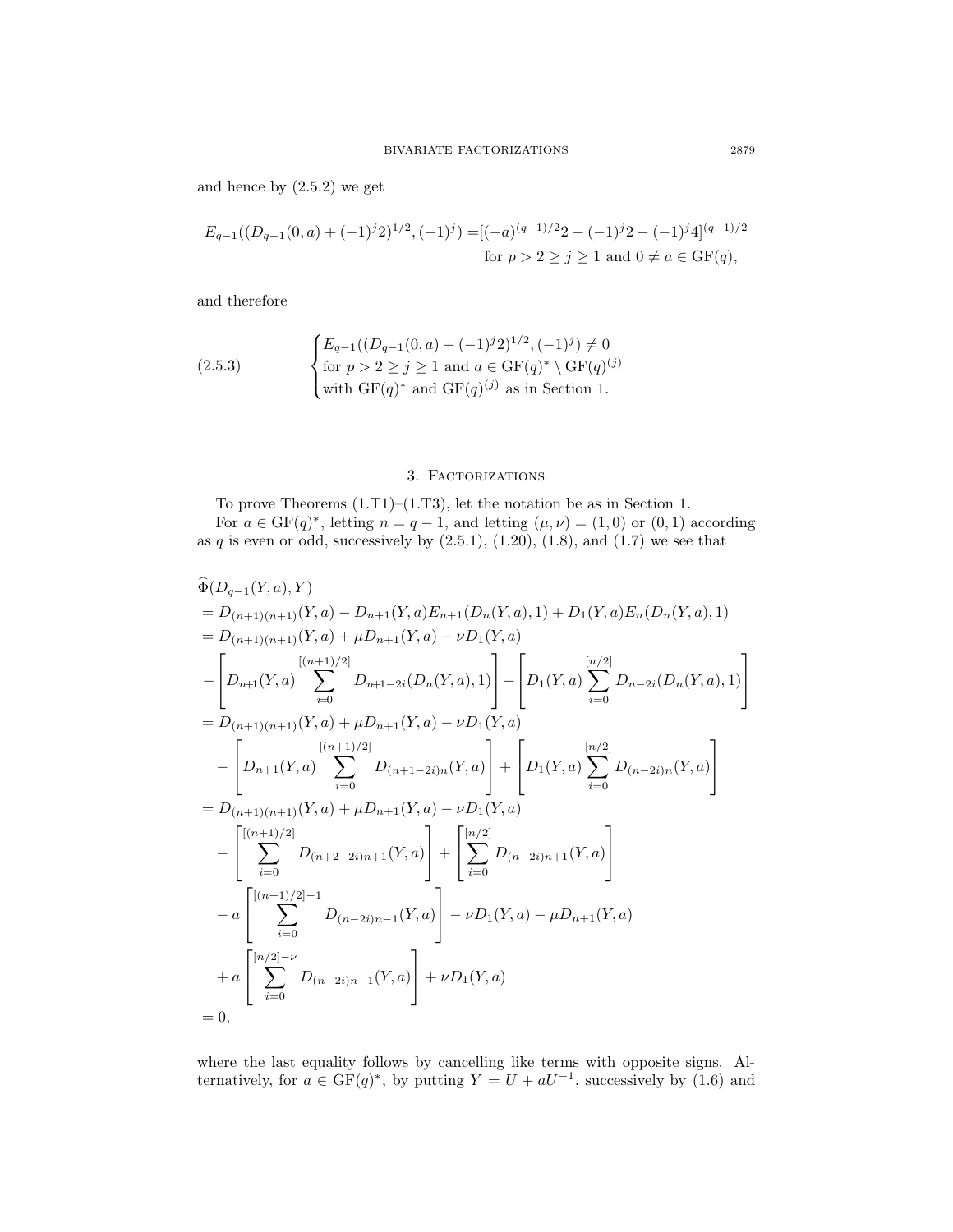and hence by  $(2.5.2)$  we get

$$
E_{q-1}((D_{q-1}(0,a) + (-1)^j 2)^{1/2}, (-1)^j) = [(-a)^{(q-1)/2} 2 + (-1)^j 2 - (-1)^j 4]^{(q-1)/2}
$$
  
for  $p > 2 \ge j \ge 1$  and  $0 \ne a \in \text{GF}(q)$ ,

and therefore

(2.5.3) 
$$
\begin{cases} E_{q-1}((D_{q-1}(0,a) + (-1)^j 2)^{1/2}, (-1)^j) \neq 0\\ \text{for } p > 2 \geq j \geq 1 \text{ and } a \in \text{GF}(q)^* \setminus \text{GF}(q)^{(j)}\\ \text{with } \text{GF}(q)^* \text{ and } \text{GF}(q)^{(j)} \text{ as in Section 1.} \end{cases}
$$

# 3. Factorizations

To prove Theorems (1.T1)–(1.T3), let the notation be as in Section 1.

For  $a \in \text{GF}(q)^*$ , letting  $n = q - 1$ , and letting  $(\mu, \nu) = (1, 0)$  or  $(0, 1)$  according as q is even or odd, successively by  $(2.5.1)$ ,  $(1.20)$ ,  $(1.8)$ , and  $(1.7)$  we see that

$$
\hat{\Phi}(D_{q-1}(Y,a),Y) = D_{(n+1)(n+1)}(Y,a) - D_{n+1}(Y,a)E_{n+1}(D_n(Y,a),1) + D_1(Y,a)E_n(D_n(Y,a),1)
$$
\n
$$
= D_{(n+1)(n+1)}(Y,a) + \mu D_{n+1}(Y,a) - \nu D_1(Y,a)
$$
\n
$$
- \left[ D_{n+1}(Y,a) \sum_{i=0}^{[(n+1)/2]} D_{n+1-2i}(D_n(Y,a),1) \right] + \left[ D_1(Y,a) \sum_{i=0}^{[n/2]} D_{n-2i}(D_n(Y,a),1) \right]
$$
\n
$$
= D_{(n+1)(n+1)}(Y,a) + \mu D_{n+1}(Y,a) - \nu D_1(Y,a)
$$
\n
$$
- \left[ D_{n+1}(Y,a) \sum_{i=0}^{[(n+1)/2]} D_{(n+1-2i)n}(Y,a) \right] + \left[ D_1(Y,a) \sum_{i=0}^{[n/2]} D_{(n-2i)n}(Y,a) \right]
$$
\n
$$
= D_{(n+1)(n+1)}(Y,a) + \mu D_{n+1}(Y,a) - \nu D_1(Y,a)
$$
\n
$$
- \left[ \sum_{i=0}^{[(n+1)/2]} D_{(n+2-2i)n+1}(Y,a) \right] + \left[ \sum_{i=0}^{[n/2]} D_{(n-2i)n+1}(Y,a) \right]
$$
\n
$$
- a \left[ \sum_{i=0}^{[(n+1)/2]-1} D_{(n-2i)n-1}(Y,a) \right] - \nu D_1(Y,a) - \mu D_{n+1}(Y,a)
$$
\n
$$
+ a \left[ \sum_{i=0}^{[n/2]-\nu} D_{(n-2i)n-1}(Y,a) \right] + \nu D_1(Y,a)
$$
\n
$$
= 0,
$$

where the last equality follows by cancelling like terms with opposite signs. Alternatively, for  $a \in \text{GF}(q)^*$ , by putting  $Y = U + aU^{-1}$ , successively by (1.6) and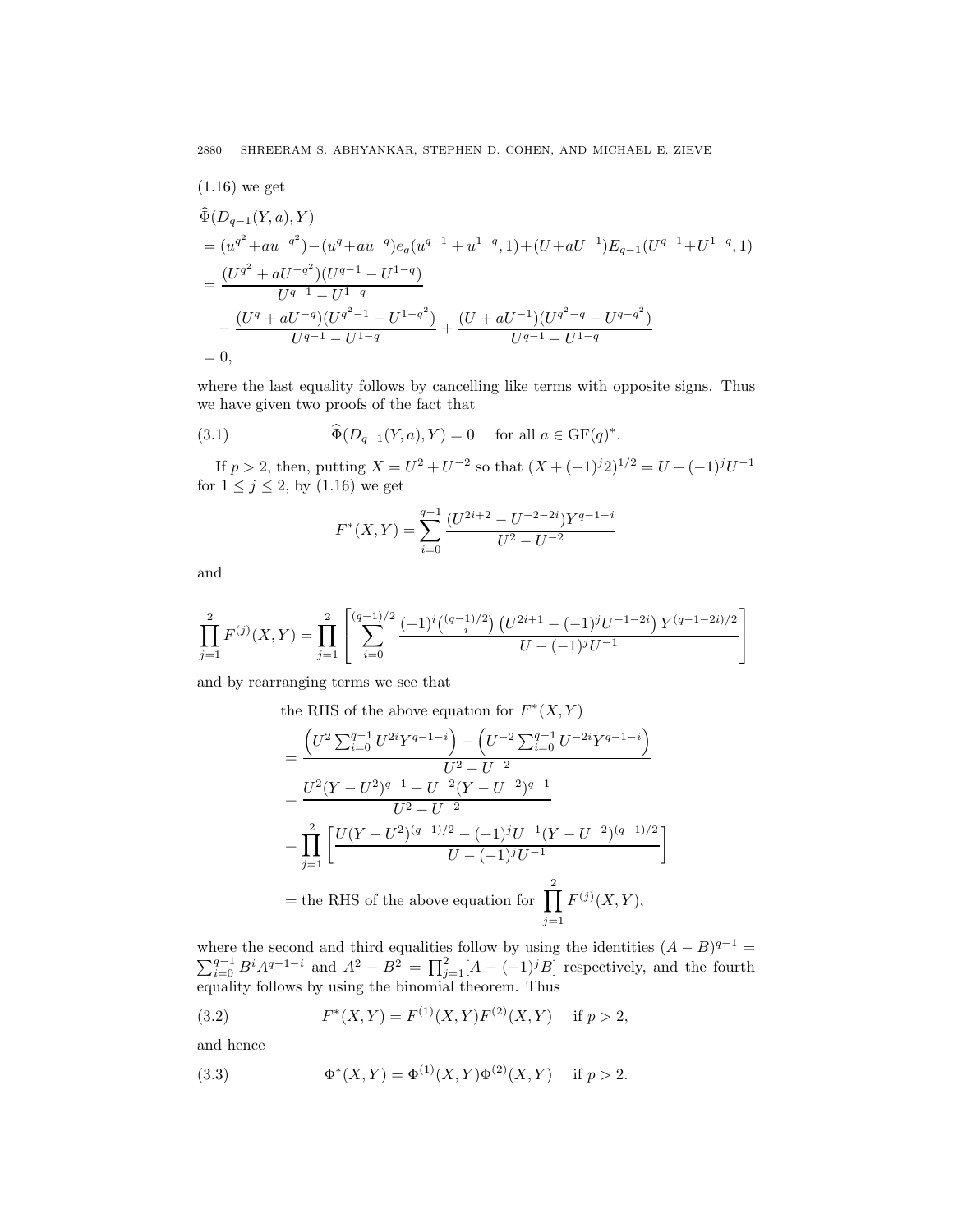(1.16) we get

$$
\begin{split}\n\widehat{\Phi}(D_{q-1}(Y,a),Y) \\
&= (u^{q^2} + au^{-q^2}) - (u^q + au^{-q})e_q(u^{q-1} + u^{1-q}, 1) + (U + aU^{-1})E_{q-1}(U^{q-1} + U^{1-q}, 1) \\
&= \frac{(U^{q^2} + aU^{-q^2})(U^{q-1} - U^{1-q})}{U^{q-1} - U^{1-q}} \\
&- \frac{(U^q + aU^{-q})(U^{q^2-1} - U^{1-q^2})}{U^{q-1} - U^{1-q}} + \frac{(U + aU^{-1})(U^{q^2-q} - U^{q-q^2})}{U^{q-1} - U^{1-q}} \\
&= 0,\n\end{split}
$$

where the last equality follows by cancelling like terms with opposite signs. Thus we have given two proofs of the fact that

(3.1) 
$$
\widehat{\Phi}(D_{q-1}(Y,a), Y) = 0 \quad \text{for all } a \in \mathrm{GF}(q)^*.
$$

If  $p > 2$ , then, putting  $X = U^2 + U^{-2}$  so that  $(X + (-1)^j 2)^{1/2} = U + (-1)^j U^{-1}$ for  $1 \leq j \leq 2$ , by  $(1.16)$  we get

$$
F^*(X,Y) = \sum_{i=0}^{q-1} \frac{(U^{2i+2} - U^{-2-2i})Y^{q-1-i}}{U^2 - U^{-2}}
$$

and

$$
\prod_{j=1}^{2} F^{(j)}(X,Y) = \prod_{j=1}^{2} \left[ \sum_{i=0}^{(q-1)/2} \frac{(-1)^i \binom{(q-1)/2}{i} \left( U^{2i+1} - (-1)^j U^{-1-2i} \right) Y^{(q-1-2i)/2}}{U - (-1)^j U^{-1}} \right]
$$

and by rearranging terms we see that

the RHS of the above equation for  $F^*(X, Y)$ 

$$
= \frac{\left(U^2 \sum_{i=0}^{q-1} U^{2i} Y^{q-1-i}\right) - \left(U^{-2} \sum_{i=0}^{q-1} U^{-2i} Y^{q-1-i}\right)}{U^2 - U^{-2}}
$$
  
= 
$$
\frac{U^2 (Y - U^2)^{q-1} - U^{-2} (Y - U^{-2})^{q-1}}{U^2 - U^{-2}}
$$
  
= 
$$
\prod_{j=1}^{2} \left[ \frac{U(Y - U^2)^{(q-1)/2} - (-1)^j U^{-1} (Y - U^{-2})^{(q-1)/2}}{U - (-1)^j U^{-1}} \right]
$$
  
= the RHS of the above equation for 
$$
\prod_{j=1}^{2} F^{(j)}(X, Y),
$$

where the second and third equalities follow by using the identities  $(A - B)^{q-1}$  =  $\sum_{i=0}^{q-1} B^i A^{q-1-i}$  and  $A^2 - B^2 = \prod_{j=1}^2 [A - (-1)^j B]$  respectively, and the fourth equality follows by using the binomial theorem. Thus

(3.2) 
$$
F^*(X,Y) = F^{(1)}(X,Y)F^{(2)}(X,Y) \text{ if } p > 2,
$$

and hence

(3.3) 
$$
\Phi^*(X, Y) = \Phi^{(1)}(X, Y)\Phi^{(2)}(X, Y) \text{ if } p > 2.
$$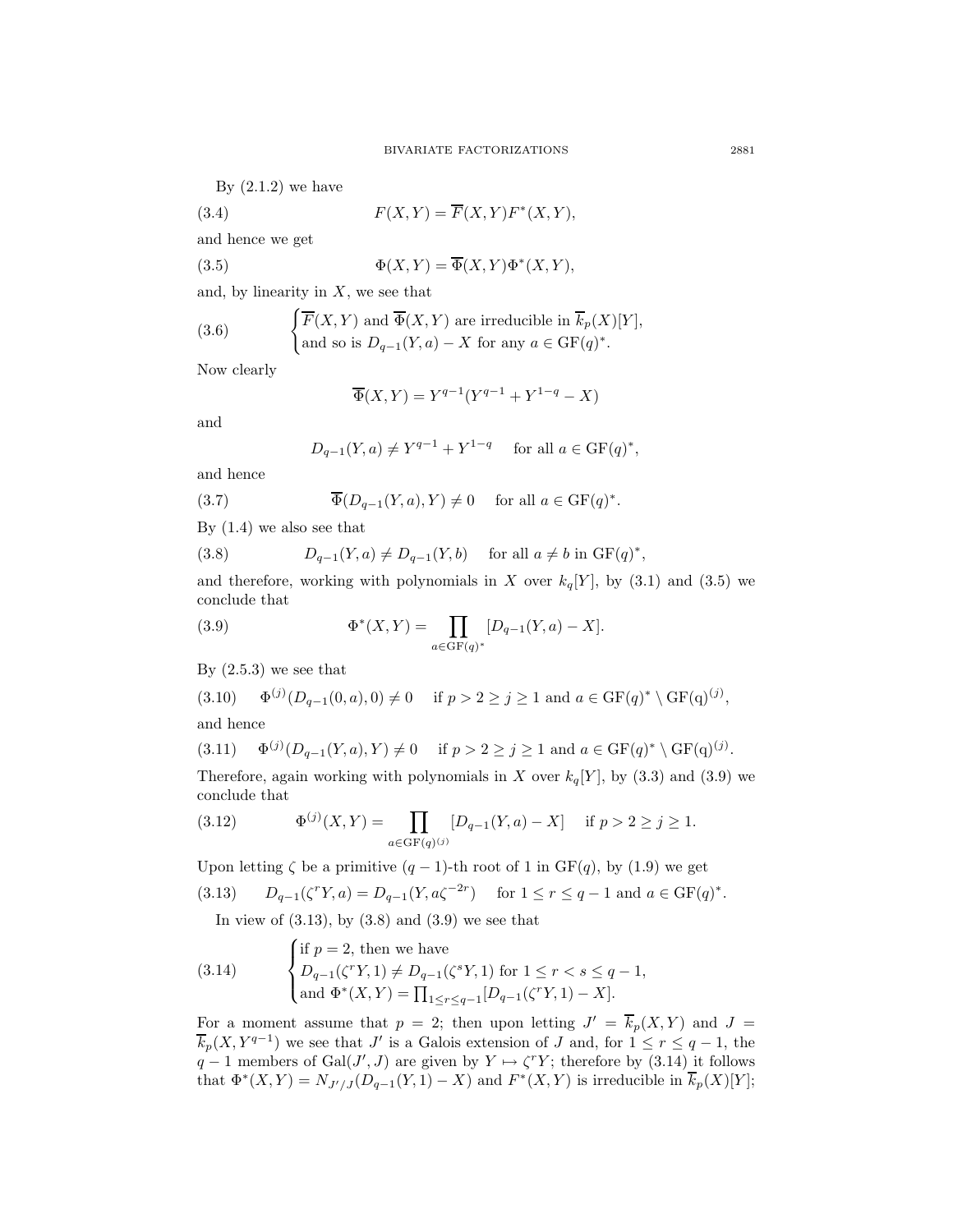By  $(2.1.2)$  we have

(3.4) 
$$
F(X,Y) = \overline{F}(X,Y)F^*(X,Y),
$$

and hence we get

(3.5) 
$$
\Phi(X,Y) = \overline{\Phi}(X,Y)\Phi^*(X,Y),
$$

and, by linearity in  $X$ , we see that

(3.6) 
$$
\begin{cases} \overline{F}(X,Y) \text{ and } \overline{\Phi}(X,Y) \text{ are irreducible in } \overline{k}_p(X)[Y], \\ \text{and so is } D_{q-1}(Y,a) - X \text{ for any } a \in \mathrm{GF}(q)^*.\end{cases}
$$

Now clearly

$$
\overline{\Phi}(X,Y) = Y^{q-1}(Y^{q-1} + Y^{1-q} - X)
$$

and

$$
D_{q-1}(Y,a) \neq Y^{q-1} + Y^{1-q}
$$
 for all  $a \in \text{GF}(q)^*$ ,

and hence

(3.7) 
$$
\overline{\Phi}(D_{q-1}(Y,a),Y) \neq 0 \quad \text{ for all } a \in \mathrm{GF}(q)^*.
$$

By (1.4) we also see that

(3.8) 
$$
D_{q-1}(Y,a) \neq D_{q-1}(Y,b) \quad \text{for all } a \neq b \text{ in } GF(q)^*,
$$

and therefore, working with polynomials in X over  $k_q[Y]$ , by (3.1) and (3.5) we conclude that

(3.9) 
$$
\Phi^*(X,Y) = \prod_{a \in {\rm GF}(q)^*} [D_{q-1}(Y,a) - X].
$$

By  $(2.5.3)$  we see that

$$
(3.10) \quad \Phi^{(j)}(D_{q-1}(0,a),0) \neq 0 \quad \text{if } p > 2 \ge j \ge 1 \text{ and } a \in \text{GF}(q)^* \setminus \text{GF}(q)^{(j)},
$$

and hence

$$
(3.11) \quad \Phi^{(j)}(D_{q-1}(Y,a), Y) \neq 0 \quad \text{if } p > 2 \ge j \ge 1 \text{ and } a \in \text{GF}(q)^* \setminus \text{GF}(q)^{(j)}.
$$

Therefore, again working with polynomials in X over  $k_q[Y]$ , by (3.3) and (3.9) we conclude that

(3.12) 
$$
\Phi^{(j)}(X,Y) = \prod_{a \in \text{GF}(q)^{(j)}} [D_{q-1}(Y,a) - X] \quad \text{if } p > 2 \ge j \ge 1.
$$

Upon letting  $\zeta$  be a primitive  $(q-1)$ -th root of 1 in GF $(q)$ , by  $(1.9)$  we get

(3.13) 
$$
D_{q-1}(\zeta^r Y, a) = D_{q-1}(Y, a\zeta^{-2r})
$$
 for  $1 \le r \le q-1$  and  $a \in \text{GF}(q)^*.$ 

In view of  $(3.13)$ , by  $(3.8)$  and  $(3.9)$  we see that

(3.14) 
$$
\begin{cases} \text{if } p = 2 \text{, then we have} \\ D_{q-1}(\zeta^r Y, 1) \neq D_{q-1}(\zeta^s Y, 1) \text{ for } 1 \leq r < s \leq q-1, \\ \text{and } \Phi^*(X, Y) = \prod_{1 \leq r \leq q-1} [D_{q-1}(\zeta^r Y, 1) - X]. \end{cases}
$$

For a moment assume that  $p = 2$ ; then upon letting  $J' = \overline{k}_p(X, Y)$  and  $J =$  $\overline{k}_p(X, Y^{q-1})$  we see that J' is a Galois extension of J and, for  $1 \le r \le q-1$ , the  $q-1$  members of  $Gal(J', J)$  are given by  $Y \mapsto \zeta^r Y$ ; therefore by (3.14) it follows that  $\Phi^*(X, Y) = N_{J'/J}(D_{q-1}(Y, 1) - X)$  and  $F^*(X, Y)$  is irreducible in  $\overline{k}_p(X)[Y]$ ;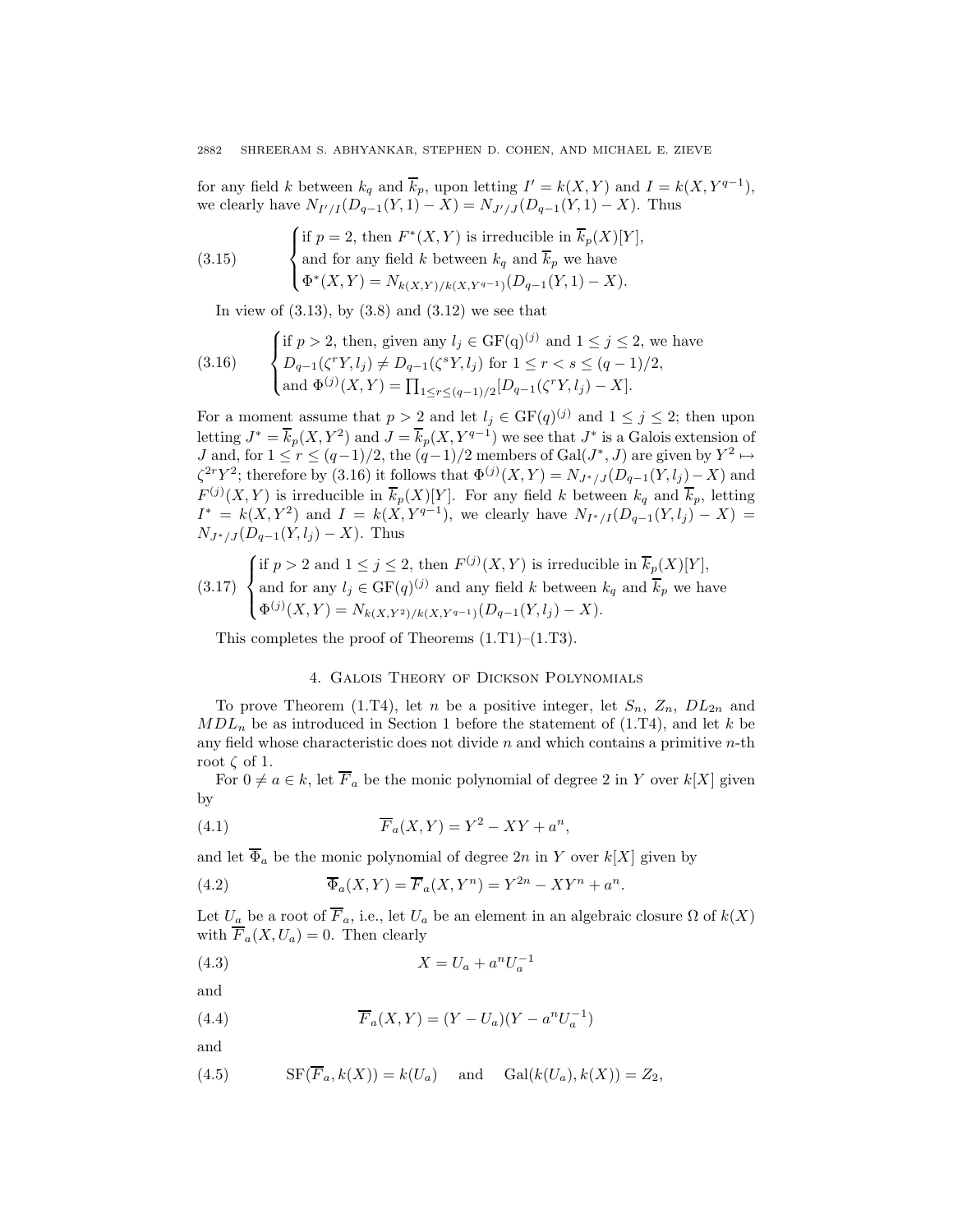for any field k between  $k_q$  and  $\overline{k}_p$ , upon letting  $I' = k(X, Y)$  and  $I = k(X, Y^{q-1}),$ we clearly have  $N_{I'/I}(D_{q-1}(Y, 1) - X) = N_{J'/J}(D_{q-1}(Y, 1) - X)$ . Thus

(3.15) 
$$
\begin{cases} \text{if } p = 2 \text{, then } F^*(X, Y) \text{ is irreducible in } \overline{k}_p(X)[Y], \\ \text{and for any field } k \text{ between } k_q \text{ and } \overline{k}_p \text{ we have} \\ \Phi^*(X, Y) = N_{k(X,Y)/k(X,Y^{q-1})}(D_{q-1}(Y, 1) - X). \end{cases}
$$

In view of  $(3.13)$ , by  $(3.8)$  and  $(3.12)$  we see that

(3.16) 
$$
\begin{cases} \text{if } p > 2, \text{ then, given any } l_j \in \text{GF(q)}^{(j)} \text{ and } 1 \leq j \leq 2, \text{ we have} \\ D_{q-1}(\zeta^r Y, l_j) \neq D_{q-1}(\zeta^s Y, l_j) \text{ for } 1 \leq r < s \leq (q-1)/2, \\ \text{and } \Phi^{(j)}(X, Y) = \prod_{1 \leq r \leq (q-1)/2} [D_{q-1}(\zeta^r Y, l_j) - X]. \end{cases}
$$

For a moment assume that  $p > 2$  and let  $l_j \in \mathrm{GF}(q)^{(j)}$  and  $1 \leq j \leq 2$ ; then upon letting  $J^* = \overline{k}_p(X, Y^2)$  and  $J = \overline{k}_p(X, Y^{q-1})$  we see that  $J^*$  is a Galois extension of *J* and, for  $1 \le r \le (q-1)/2$ , the  $(q-1)/2$  members of Gal( $J^*$ ,  $J$ ) are given by  $Y^2$  →  $\zeta^{2r}Y^2$ ; therefore by (3.16) it follows that  $\Phi^{(j)}(X,Y) = N_{J^*/J}(D_{q-1}(Y,l_j)-X)$  and  $F^{(j)}(X,Y)$  is irreducible in  $\overline{k}_p(X)[Y]$ . For any field k between  $k_q$  and  $\overline{k}_p$ , letting  $I^* = k(X, Y^2)$  and  $I = k(X, Y^{q-1})$ , we clearly have  $N_{I^*/I}(D_{q-1}(Y, l_j) - X) =$  $N_{J^*/J}(D_{q-1}(Y,l_j) - X)$ . Thus

(3.17) 
$$
\begin{cases} \text{if } p > 2 \text{ and } 1 \leq j \leq 2 \text{, then } F^{(j)}(X, Y) \text{ is irreducible in } \overline{k}_p(X)[Y], \\ \text{and for any } l_j \in \text{GF}(q)^{(j)} \text{ and any field } k \text{ between } k_q \text{ and } \overline{k}_p \text{ we have} \\ \Phi^{(j)}(X, Y) = N_{k(X, Y^2)/k(X, Y^{q-1})}(D_{q-1}(Y, l_j) - X). \end{cases}
$$

This completes the proof of Theorems (1.T1)–(1.T3).

# 4. Galois Theory of Dickson Polynomials

To prove Theorem (1.T4), let n be a positive integer, let  $S_n$ ,  $Z_n$ ,  $DL_{2n}$  and  $MDL_n$  be as introduced in Section 1 before the statement of (1.T4), and let k be any field whose characteristic does not divide  $n$  and which contains a primitive  $n$ -th root  $\zeta$  of 1.

For  $0 \neq a \in k$ , let  $\overline{F}_a$  be the monic polynomial of degree 2 in Y over  $k[X]$  given by

(4.1) 
$$
\overline{F}_a(X,Y) = Y^2 - XY + a^n,
$$

and let  $\overline{\Phi}_a$  be the monic polynomial of degree  $2n$  in Y over  $k[X]$  given by

(4.2) 
$$
\overline{\Phi}_a(X,Y) = \overline{F}_a(X,Y^n) = Y^{2n} - XY^n + a^n.
$$

Let  $U_a$  be a root of  $\overline{F}_a$ , i.e., let  $U_a$  be an element in an algebraic closure  $\Omega$  of  $k(X)$ with  $\overline{F}_a(X, U_a) = 0$ . Then clearly

(4.3) 
$$
X = U_a + a^n U_a^{-1}
$$

and

(4.4) 
$$
\overline{F}_a(X,Y) = (Y - U_a)(Y - a^n U_a^{-1})
$$

and

(4.5) 
$$
SF(\overline{F}_a, k(X)) = k(U_a) \text{ and } Gal(k(U_a), k(X)) = Z_2,
$$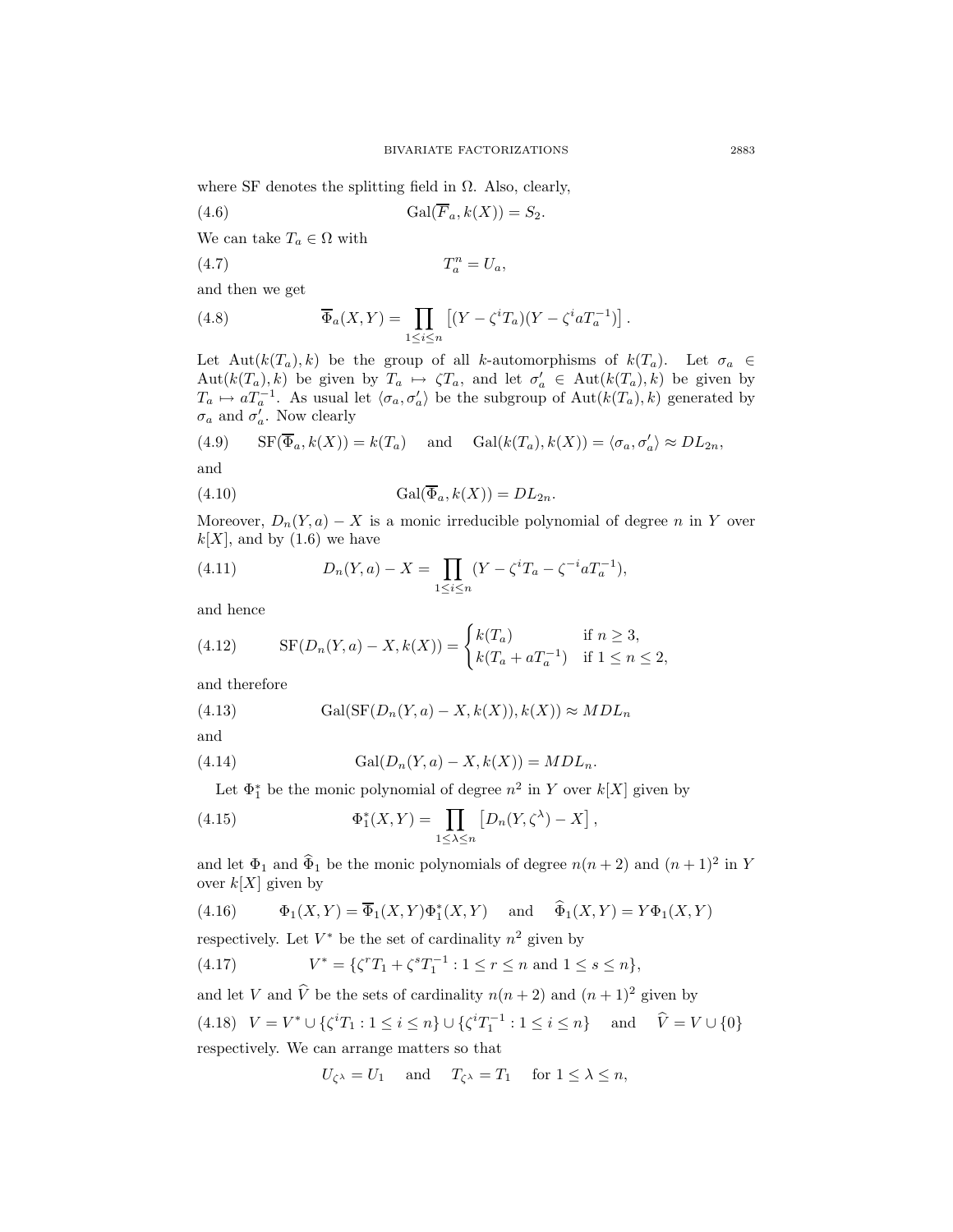where SF denotes the splitting field in  $\Omega$ . Also, clearly,

(4.6) 
$$
Gal(\overline{F}_a, k(X)) = S_2.
$$

We can take  $T_a \in \Omega$  with

$$
(4.7) \t\t T_a^n = U_a,
$$

and then we get

(4.8) 
$$
\overline{\Phi}_a(X,Y) = \prod_{1 \leq i \leq n} \left[ (Y - \zeta^i T_a)(Y - \zeta^i a T_a^{-1}) \right].
$$

Let Aut $(k(T_a), k)$  be the group of all k-automorphisms of  $k(T_a)$ . Let  $\sigma_a \in$  $Aut(k(T_a), k)$  be given by  $T_a \mapsto \zeta T_a$ , and let  $\sigma'_a \in Aut(k(T_a), k)$  be given by  $T_a \mapsto aT_a^{-1}$ . As usual let  $\langle \sigma_a, \sigma'_a \rangle$  be the subgroup of  $\text{Aut}(k(T_a), k)$  generated by  $\sigma_a$  and  $\sigma'_a$ . Now clearly

(4.9) 
$$
\text{SF}(\overline{\Phi}_a, k(X)) = k(T_a)
$$
 and  $\text{Gal}(k(T_a), k(X)) = \langle \sigma_a, \sigma'_a \rangle \approx DL_{2n}$ ,  
and

(4.10) 
$$
\operatorname{Gal}(\overline{\Phi}_a, k(X)) = DL_{2n}.
$$

Moreover,  $D_n(Y, a) - X$  is a monic irreducible polynomial of degree n in Y over  $k[X]$ , and by  $(1.6)$  we have

(4.11) 
$$
D_n(Y, a) - X = \prod_{1 \le i \le n} (Y - \zeta^i T_a - \zeta^{-i} a T_a^{-1}),
$$

and hence

(4.12) 
$$
SF(D_n(Y, a) - X, k(X)) = \begin{cases} k(T_a) & \text{if } n \ge 3, \\ k(T_a + aT_a^{-1}) & \text{if } 1 \le n \le 2, \end{cases}
$$

and therefore

(4.13) 
$$
Gal(SF(D_n(Y, a) - X, k(X)), k(X)) \approx MDL_n
$$

and

(4.14) 
$$
Gal(D_n(Y, a) - X, k(X)) = MDL_n.
$$

Let  $\Phi_1^*$  be the monic polynomial of degree  $n^2$  in Y over  $k[X]$  given by

(4.15) 
$$
\Phi_1^*(X,Y) = \prod_{1 \leq \lambda \leq n} \left[ D_n(Y,\zeta^{\lambda}) - X \right],
$$

and let  $\Phi_1$  and  $\hat{\Phi}_1$  be the monic polynomials of degree  $n(n + 2)$  and  $(n + 1)^2$  in Y over  $k[X]$  given by

(4.16) 
$$
\Phi_1(X,Y) = \overline{\Phi}_1(X,Y)\Phi_1^*(X,Y) \quad \text{and} \quad \widehat{\Phi}_1(X,Y) = Y\Phi_1(X,Y)
$$

respectively. Let  $V^*$  be the set of cardinality  $n^2$  given by

(4.17) 
$$
V^* = \{ \zeta^r T_1 + \zeta^s T_1^{-1} : 1 \le r \le n \text{ and } 1 \le s \le n \},
$$

and let V and  $\hat{V}$  be the sets of cardinality  $n(n + 2)$  and  $(n + 1)^2$  given by

(4.18) 
$$
V = V^* \cup \{\zeta^i T_1 : 1 \le i \le n\} \cup \{\zeta^i T_1^{-1} : 1 \le i \le n\}
$$
 and  $\hat{V} = V \cup \{0\}$   
respectively. We can arrange matters so that

$$
U_{\zeta^{\lambda}} = U_1
$$
 and  $T_{\zeta^{\lambda}} = T_1$  for  $1 \leq \lambda \leq n$ ,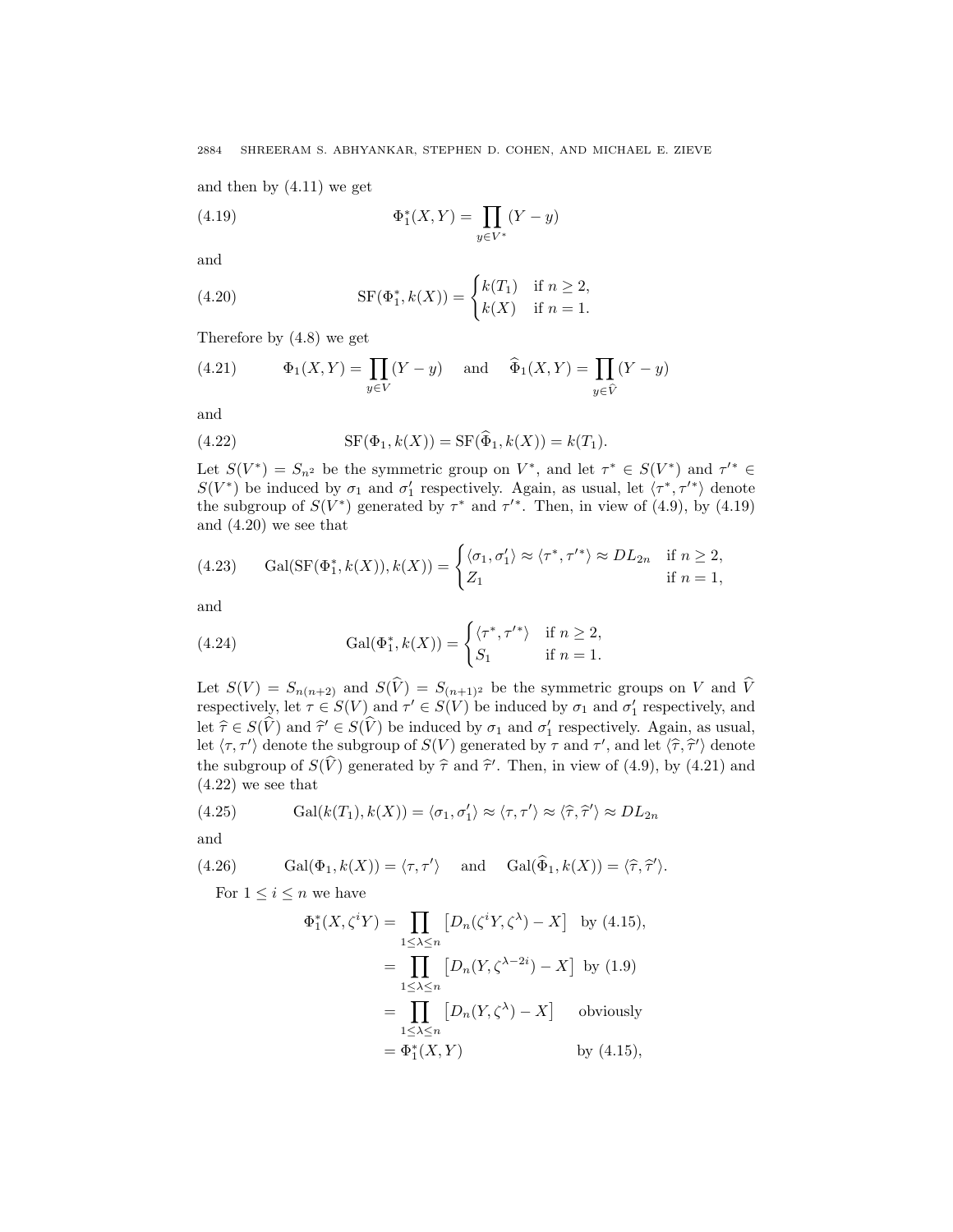2884 SHREERAM S. ABHYANKAR, STEPHEN D. COHEN, AND MICHAEL E. ZIEVE

and then by (4.11) we get

(4.19) 
$$
\Phi_1^*(X,Y) = \prod_{y \in V^*} (Y - y)
$$

and

(4.20) 
$$
SF(\Phi_1^*, k(X)) = \begin{cases} k(T_1) & \text{if } n \ge 2, \\ k(X) & \text{if } n = 1. \end{cases}
$$

Therefore by (4.8) we get

(4.21) 
$$
\Phi_1(X,Y) = \prod_{y \in V} (Y - y) \quad \text{and} \quad \widehat{\Phi}_1(X,Y) = \prod_{y \in \widehat{V}} (Y - y)
$$

and

(4.22) 
$$
SF(\Phi_1, k(X)) = SF(\hat{\Phi}_1, k(X)) = k(T_1).
$$

Let  $S(V^*) = S_{n^2}$  be the symmetric group on  $V^*$ , and let  $\tau^* \in S(V^*)$  and  $\tau'^* \in$  $S(V^*)$  be induced by  $\sigma_1$  and  $\sigma'_1$  respectively. Again, as usual, let  $\langle \tau^*, \tau'^* \rangle$  denote the subgroup of  $S(V^*)$  generated by  $\tau^*$  and  $\tau'^*$ . Then, in view of (4.9), by (4.19) and (4.20) we see that

(4.23) Gal(SF(
$$
\Phi_1^*, k(X)
$$
),  $k(X)$ ) = 
$$
\begin{cases} \langle \sigma_1, \sigma_1' \rangle \approx \langle \tau^*, \tau'^* \rangle \approx DL_{2n} & \text{if } n \geq 2, \\ Z_1 & \text{if } n = 1, \end{cases}
$$

and

(4.24) 
$$
\operatorname{Gal}(\Phi_1^*, k(X)) = \begin{cases} \langle \tau^*, \tau'^* \rangle & \text{if } n \ge 2, \\ S_1 & \text{if } n = 1. \end{cases}
$$

Let  $S(V) = S_{n(n+2)}$  and  $S(V) = S_{(n+1)^2}$  be the symmetric groups on V and V respectively, let  $\tau \in S(V)$  and  $\tau' \in S(V)$  be induced by  $\sigma_1$  and  $\sigma'_1$  respectively, and let  $\hat{\tau} \in S(V)$  and  $\hat{\tau}' \in S(V)$  be induced by  $\sigma_1$  and  $\sigma'_1$  respectively. Again, as usual, let  $\langle \tau, \tau' \rangle$  denote the subgroup of  $S(V)$  generated by  $\tau$  and  $\tau'$ , and let  $\langle \hat{\tau}, \hat{\tau'} \rangle$  denote the subgroup of  $S(V)$  generated by  $\hat{\tau}$  and  $\hat{\tau}'$ . Then, in view of (4.9), by (4.21) and (4.9), we see that (4.22) we see that

(4.25) 
$$
\text{Gal}(k(T_1), k(X)) = \langle \sigma_1, \sigma'_1 \rangle \approx \langle \tau, \tau' \rangle \approx \langle \hat{\tau}, \hat{\tau}' \rangle \approx DL_{2n}
$$

and

(4.26) Gal(
$$
\Phi_1
$$
,  $k(X)$ ) =  $\langle \tau, \tau' \rangle$  and Gal( $\hat{\Phi}_1$ ,  $k(X)$ ) =  $\langle \hat{\tau}, \hat{\tau}' \rangle$ .

For  $1 \leq i \leq n$  we have

$$
\Phi_1^*(X, \zeta^i Y) = \prod_{1 \le \lambda \le n} \left[ D_n(\zeta^i Y, \zeta^\lambda) - X \right] \text{ by (4.15)},
$$
  
\n
$$
= \prod_{1 \le \lambda \le n} \left[ D_n(Y, \zeta^{\lambda - 2i}) - X \right] \text{ by (1.9)}
$$
  
\n
$$
= \prod_{1 \le \lambda \le n} \left[ D_n(Y, \zeta^\lambda) - X \right] \text{ obviously}
$$
  
\n
$$
= \Phi_1^*(X, Y) \text{ by (4.15)},
$$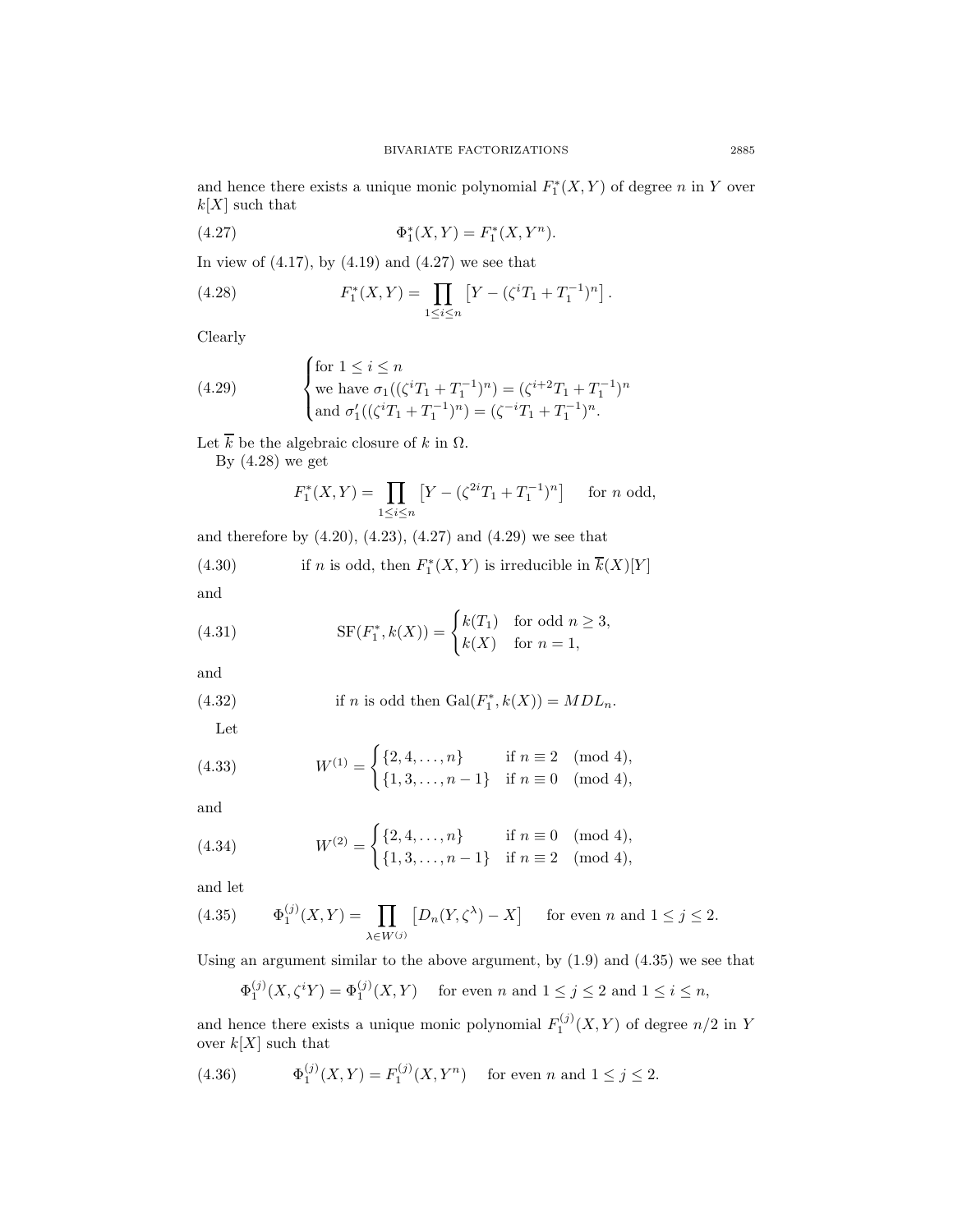and hence there exists a unique monic polynomial  $F_1^*(X, Y)$  of degree n in Y over  $k[X]$  such that

(4.27) 
$$
\Phi_1^*(X,Y) = F_1^*(X,Y^n).
$$

In view of  $(4.17)$ , by  $(4.19)$  and  $(4.27)$  we see that

(4.28) 
$$
F_1^*(X,Y) = \prod_{1 \le i \le n} \left[ Y - (\zeta^i T_1 + T_1^{-1})^n \right].
$$

Clearly

(4.29) 
$$
\begin{cases} \text{for } 1 \leq i \leq n \\ \text{we have } \sigma_1((\zeta^i T_1 + T_1^{-1})^n) = (\zeta^{i+2} T_1 + T_1^{-1})^n \\ \text{and } \sigma'_1((\zeta^i T_1 + T_1^{-1})^n) = (\zeta^{-i} T_1 + T_1^{-1})^n. \end{cases}
$$

Let  $\overline{k}$  be the algebraic closure of  $k$  in  $\Omega.$ 

By (4.28) we get

$$
F_1^*(X,Y) = \prod_{1 \le i \le n} \left[ Y - (\zeta^{2i} T_1 + T_1^{-1})^n \right] \text{ for } n \text{ odd,}
$$

and therefore by  $(4.20)$ ,  $(4.23)$ ,  $(4.27)$  and  $(4.29)$  we see that

(4.30) if *n* is odd, then 
$$
F_1^*(X, Y)
$$
 is irreducible in  $k(X)[Y]$ 

and

(4.31) 
$$
SF(F_1^*, k(X)) = \begin{cases} k(T_1) & \text{for odd } n \ge 3, \\ k(X) & \text{for } n = 1, \end{cases}
$$

and

(4.32) if *n* is odd then 
$$
Gal(F_1^*, k(X)) = MDL_n
$$
.

 $\overline{\phantom{a}}$ 

 $\overline{a}$ 

Let

(4.33) 
$$
W^{(1)} = \begin{cases} \{2, 4, \dots, n\} & \text{if } n \equiv 2 \pmod{4}, \\ \{1, 3, \dots, n-1\} & \text{if } n \equiv 0 \pmod{4}, \end{cases}
$$

and

(4.34) 
$$
W^{(2)} = \begin{cases} \{2, 4, ..., n\} & \text{if } n \equiv 0 \pmod{4}, \\ \{1, 3, ..., n-1\} & \text{if } n \equiv 2 \pmod{4}, \end{cases}
$$

and let

(4.35) 
$$
\Phi_1^{(j)}(X,Y) = \prod_{\lambda \in W^{(j)}} [D_n(Y,\zeta^{\lambda}) - X] \quad \text{ for even } n \text{ and } 1 \le j \le 2.
$$

Using an argument similar to the above argument, by (1.9) and (4.35) we see that

$$
\Phi_1^{(j)}(X, \zeta^i Y) = \Phi_1^{(j)}(X, Y) \quad \text{ for even } n \text{ and } 1 \le j \le 2 \text{ and } 1 \le i \le n,
$$

and hence there exists a unique monic polynomial  $F_1^{(j)}(X,Y)$  of degree  $n/2$  in Y over  $k[X]$  such that

(4.36) 
$$
\Phi_1^{(j)}(X,Y) = F_1^{(j)}(X,Y^n) \text{ for even } n \text{ and } 1 \le j \le 2.
$$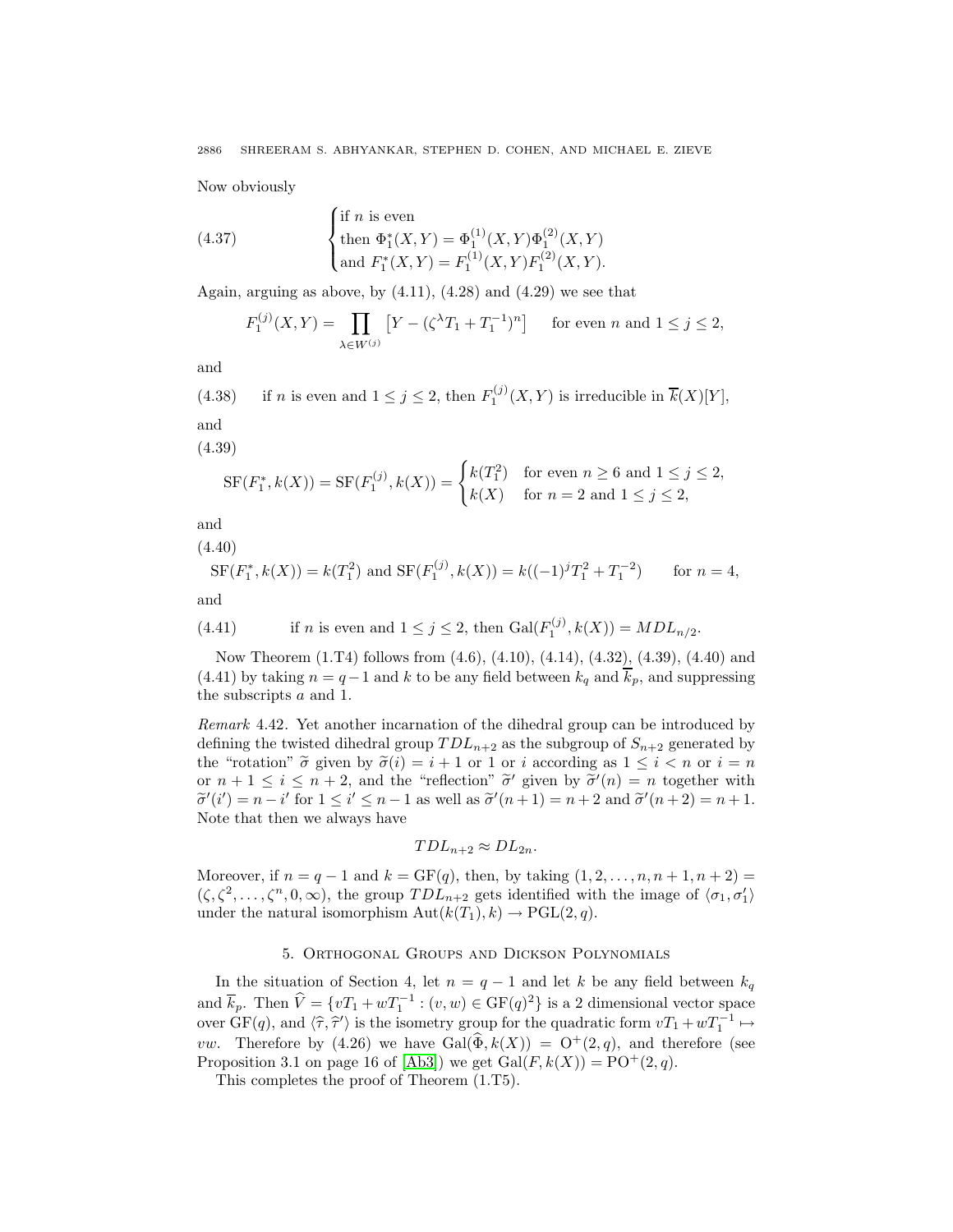Now obviously

(4.37)   
\n
$$
\begin{cases}\n\text{if } n \text{ is even} \\
\text{then } \Phi_1^*(X, Y) = \Phi_1^{(1)}(X, Y) \Phi_1^{(2)}(X, Y) \\
\text{and } F_1^*(X, Y) = F_1^{(1)}(X, Y) F_1^{(2)}(X, Y).\n\end{cases}
$$

Again, arguing as above, by  $(4.11)$ ,  $(4.28)$  and  $(4.29)$  we see that

$$
F_1^{(j)}(X,Y) = \prod_{\lambda \in W^{(j)}} \left[ Y - (\zeta^{\lambda} T_1 + T_1^{-1})^n \right] \text{ for even } n \text{ and } 1 \le j \le 2,
$$

and

(4.38) if *n* is even and  $1 \le j \le 2$ , then  $F_1^{(j)}(X, Y)$  is irreducible in  $\overline{k}(X)[Y]$ , and

(4.39)

$$
SF(F_1^*, k(X)) = SF(F_1^{(j)}, k(X)) = \begin{cases} k(T_1^2) & \text{for even } n \ge 6 \text{ and } 1 \le j \le 2, \\ k(X) & \text{for } n = 2 \text{ and } 1 \le j \le 2, \end{cases}
$$

and

(4.40)

$$
SF(F_1^*, k(X)) = k(T_1^2) \text{ and } SF(F_1^{(j)}, k(X)) = k((-1)^j T_1^2 + T_1^{-2}) \quad \text{for } n = 4,
$$

and

(4.41) if *n* is even and 
$$
1 \le j \le 2
$$
, then  $Gal(F_1^{(j)}, k(X)) = MDL_{n/2}$ .

Now Theorem (1.T4) follows from (4.6), (4.10), (4.14), (4.32), (4.39), (4.40) and (4.41) by taking  $n = q - 1$  and k to be any field between  $k_q$  and  $\overline{k}_p$ , and suppressing the subscripts a and 1.

Remark 4.42. Yet another incarnation of the dihedral group can be introduced by defining the twisted dihedral group  $TDL_{n+2}$  as the subgroup of  $S_{n+2}$  generated by the "rotation"  $\tilde{\sigma}$  given by  $\tilde{\sigma}(i) = i + 1$  or 1 or i according as  $1 \leq i < n$  or  $i = n$ or  $n + 1 \leq i \leq n + 2$ , and the "reflection"  $\tilde{\sigma}'$  given by  $\tilde{\sigma}'(n) = n$  together with  $\tilde{\sigma}'(i') = n - i'$  for  $1 \leq i' \leq n - 1$  as well as  $\tilde{\sigma}'(n+1) = n + 2$  and  $\tilde{\sigma}'(n+2) = n + 1$ . Note that then we always have

$$
TDL_{n+2}\approx DL_{2n}.
$$

Moreover, if  $n = q - 1$  and  $k = GF(q)$ , then, by taking  $(1, 2, ..., n, n + 1, n + 2) =$  $(\zeta, \zeta^2, \ldots, \zeta^n, 0, \infty)$ , the group  $TDL_{n+2}$  gets identified with the image of  $\langle \sigma_1, \sigma'_1 \rangle$ under the natural isomorphism  $Aut(k(T_1), k) \to \text{PGL}(2, q)$ .

# 5. Orthogonal Groups and Dickson Polynomials

In the situation of Section 4, let  $n = q - 1$  and let k be any field between  $k_q$ and  $\overline{k}_p$ . Then  $\widehat{V} = \{vT_1 + wT_1^{-1} : (v, w) \in \text{GF}(q)^2\}$  is a 2 dimensional vector space over  $GF(q)$ , and  $\langle \hat{\tau}, \hat{\tau}' \rangle$  is the isometry group for the quadratic form  $vT_1 + wT_1^{-1} \mapsto$ *vw.* Therefore by (4.26) we have  $Gal(\widehat{\Phi}, k(X)) = O^+(2,q)$ , and therefore (see Proposition 3.1 on page 16 of [\[Ab3\]](#page-16-9)) we get  $Gal(F, k(X)) = PO^+(2, q)$ .

This completes the proof of Theorem (1.T5).